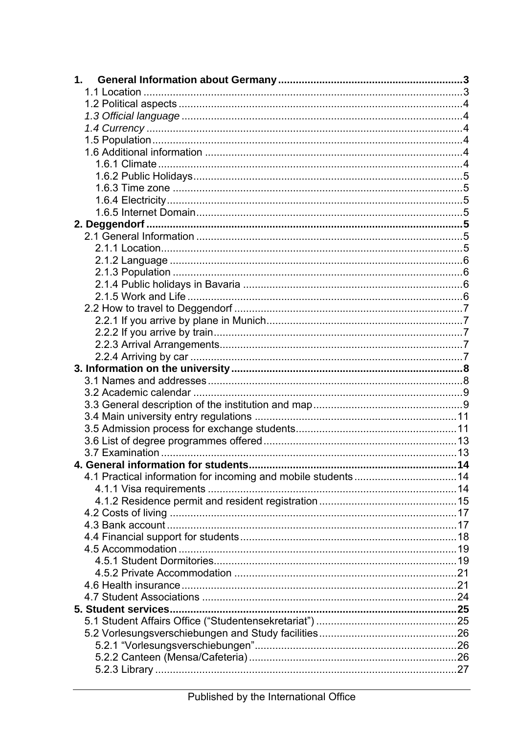| 1. |  |
|----|--|
|    |  |
|    |  |
|    |  |
|    |  |
|    |  |
|    |  |
|    |  |
|    |  |
|    |  |
|    |  |
|    |  |
|    |  |
|    |  |
|    |  |
|    |  |
|    |  |
|    |  |
|    |  |
|    |  |
|    |  |
|    |  |
|    |  |
|    |  |
|    |  |
|    |  |
|    |  |
|    |  |
|    |  |
|    |  |
|    |  |
|    |  |
|    |  |
|    |  |
|    |  |
|    |  |
|    |  |
|    |  |
|    |  |
|    |  |
|    |  |
|    |  |
|    |  |
|    |  |
|    |  |
|    |  |
|    |  |
|    |  |
|    |  |
|    |  |
|    |  |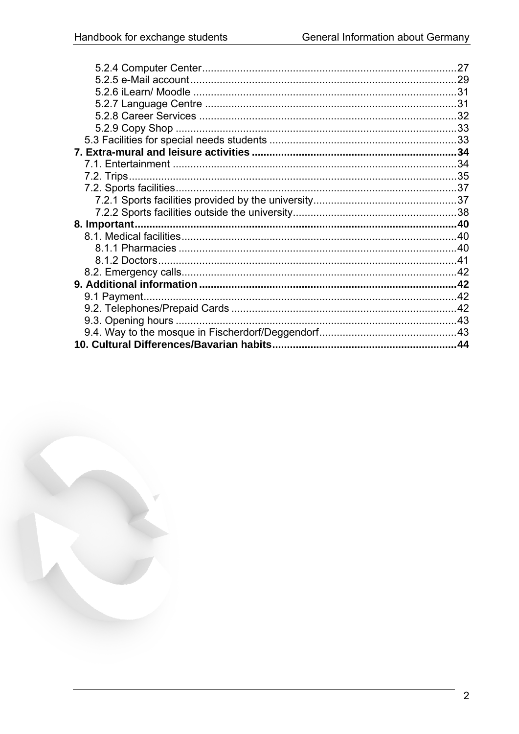| 27 |
|----|
|    |
|    |
|    |
|    |
|    |
|    |
|    |
|    |
|    |
|    |
|    |
|    |
|    |
|    |
|    |
|    |
|    |
|    |
|    |
|    |
|    |
|    |
|    |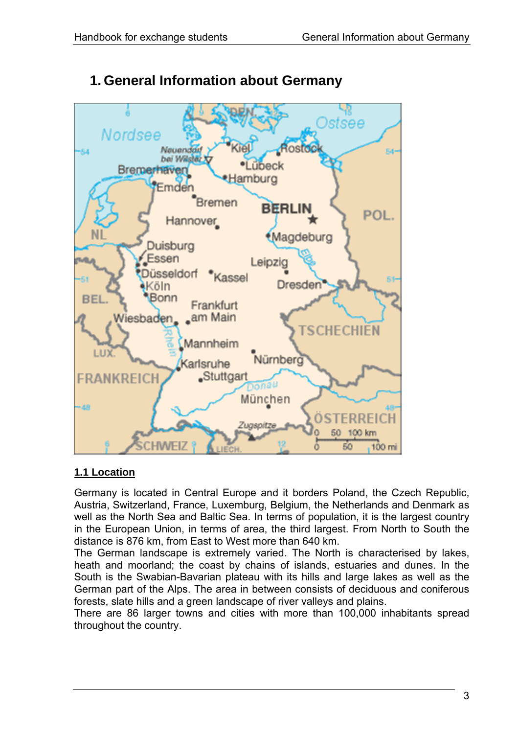<span id="page-2-0"></span>

# **1. General Information about Germany**

# **1.1 Location**

Germany is located in Central Europe and it borders Poland, the Czech Republic, Austria, Switzerland, France, Luxemburg, Belgium, the Netherlands and Denmark as well as the North Sea and Baltic Sea. In terms of population, it is the largest country in the European Union, in terms of area, the third largest. From North to South the distance is 876 km, from East to West more than 640 km.

The German landscape is extremely varied. The North is characterised by lakes, heath and moorland; the coast by chains of islands, estuaries and dunes. In the South is the Swabian-Bavarian plateau with its hills and large lakes as well as the German part of the Alps. The area in between consists of deciduous and coniferous forests, slate hills and a green landscape of river valleys and plains.

There are 86 larger towns and cities with more than 100,000 inhabitants spread throughout the country.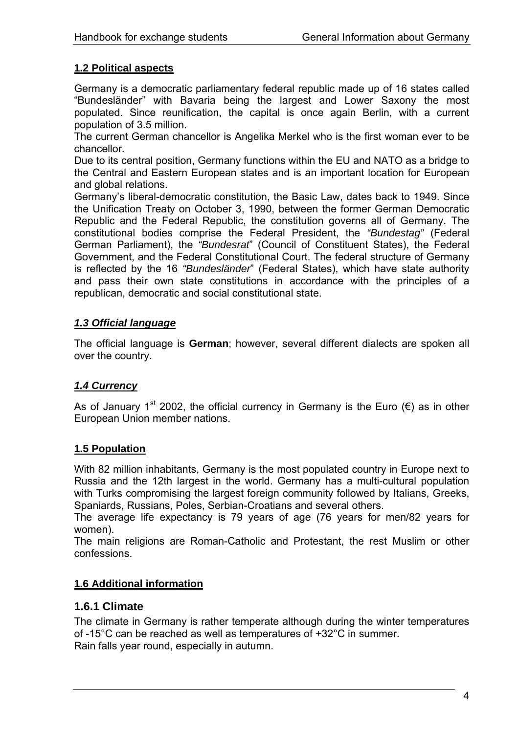## <span id="page-3-0"></span>**1.2 Political aspects**

Germany is a democratic parliamentary federal republic made up of 16 states called "Bundesländer" with Bavaria being the largest and Lower Saxony the most populated. Since reunification, the capital is once again Berlin, with a current population of 3.5 million.

The current German chancellor is Angelika Merkel who is the first woman ever to be chancellor.

Due to its central position, Germany functions within the EU and NATO as a bridge to the Central and Eastern European states and is an important location for European and global relations.

Germany's liberal-democratic constitution, the Basic Law, dates back to 1949. Since the Unification Treaty on October 3, 1990, between the former German Democratic Republic and the Federal Republic, the constitution governs all of Germany. The constitutional bodies comprise the Federal President, the *"Bundestag"* (Federal German Parliament), the *"Bundesrat*" (Council of Constituent States), the Federal Government, and the Federal Constitutional Court. The federal structure of Germany is reflected by the 16 *"Bundesländer*" (Federal States), which have state authority and pass their own state constitutions in accordance with the principles of a republican, democratic and social constitutional state.

## *1.3 Official language*

The official language is **German**; however, several different dialects are spoken all over the country.

# *1.4 Currency*

As of January 1<sup>st</sup> 2002, the official currency in Germany is the Euro ( $\epsilon$ ) as in other European Union member nations.

## **1.5 Population**

With 82 million inhabitants, Germany is the most populated country in Europe next to Russia and the 12th largest in the world. Germany has a multi-cultural population with Turks compromising the largest foreign community followed by Italians, Greeks, Spaniards, Russians, Poles, Serbian-Croatians and several others.

The average life expectancy is 79 years of age (76 years for men/82 years for women).

The main religions are Roman-Catholic and Protestant, the rest Muslim or other confessions.

## **1.6 Additional information**

## **1.6.1 Climate**

The climate in Germany is rather temperate although during the winter temperatures of -15°C can be reached as well as temperatures of +32°C in summer. Rain falls year round, especially in autumn.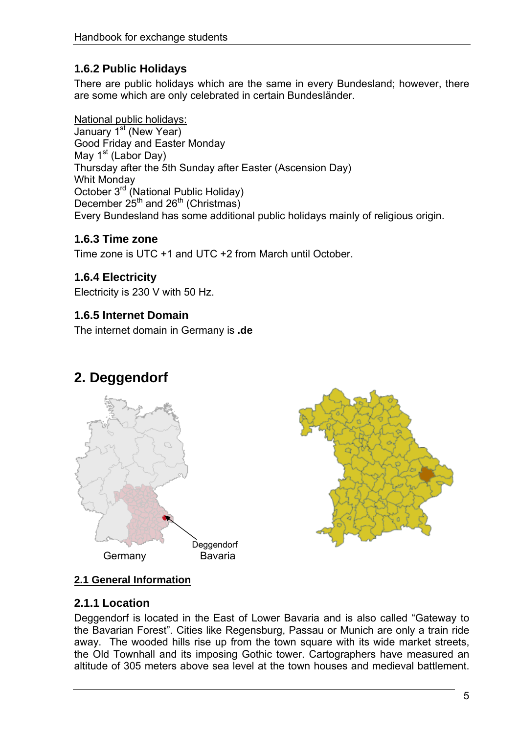# <span id="page-4-0"></span>**1.6.2 Public Holidays**

There are public holidays which are the same in every Bundesland; however, there are some which are only celebrated in certain Bundesländer.

National public holidays: January 1<sup>st</sup> (New Year) Good Friday and Easter Monday May  $1<sup>st</sup>$  (Labor Day) Thursday after the 5th Sunday after Easter (Ascension Day) Whit Monday October 3rd (National Public Holiday) December  $25^{th}$  and  $26^{th}$  (Christmas) Every Bundesland has some additional public holidays mainly of religious origin.

# **1.6.3 Time zone**

Time zone is UTC +1 and UTC +2 from March until October.

# **1.6.4 Electricity**

Electricity is 230 V with 50 Hz.

# **1.6.5 Internet Domain**

The internet domain in Germany is **.de**

# **2. Deggendorf**





# **2.1 General Information**

# **2.1.1 Location**

Deggendorf is located in the East of Lower Bavaria and is also called "Gateway to the Bavarian Forest". Cities like Regensburg, Passau or Munich are only a train ride away. The wooded hills rise up from the town square with its wide market streets, the Old Townhall and its imposing Gothic tower. Cartographers have measured an altitude of 305 meters above sea level at the town houses and medieval battlement.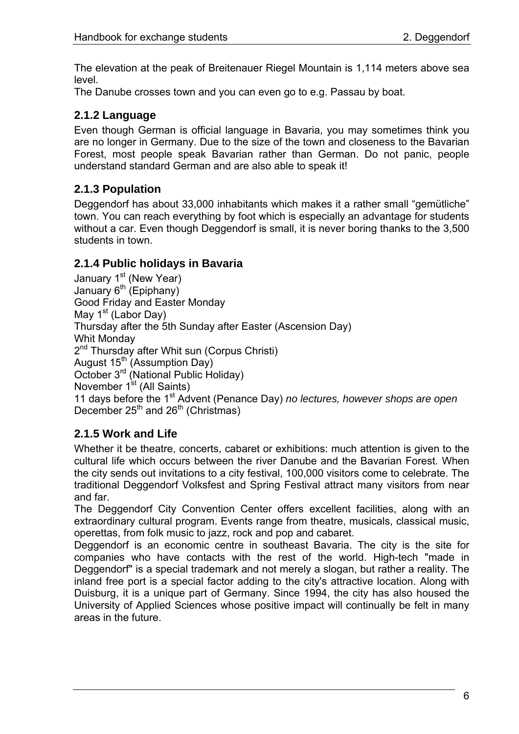<span id="page-5-0"></span>The elevation at the peak of Breitenauer Riegel Mountain is 1,114 meters above sea level.

The Danube crosses town and you can even go to e.g. Passau by boat.

# **2.1.2 Language**

Even though German is official language in Bavaria, you may sometimes think you are no longer in Germany. Due to the size of the town and closeness to the Bavarian Forest, most people speak Bavarian rather than German. Do not panic, people understand standard German and are also able to speak it!

# **2.1.3 Population**

Deggendorf has about 33,000 inhabitants which makes it a rather small "gemütliche" town. You can reach everything by foot which is especially an advantage for students without a car. Even though Deggendorf is small, it is never boring thanks to the 3,500 students in town.

# **2.1.4 Public holidays in Bavaria**

January 1<sup>st</sup> (New Year) January 6<sup>th</sup> (Epiphany) Good Friday and Easter Monday May  $1<sup>st</sup>$  (Labor Day) Thursday after the 5th Sunday after Easter (Ascension Day) Whit Monday 2<sup>nd</sup> Thursday after Whit sun (Corpus Christi) August  $15^{th}$  (Assumption Day) October 3<sup>rd</sup> (National Public Holiday) November 1<sup>st</sup> (All Saints) 11 days before the 1st Advent (Penance Day) *no lectures, however shops are open* December  $25<sup>th</sup>$  and  $26<sup>th</sup>$  (Christmas)

# **2.1.5 Work and Life**

Whether it be theatre, concerts, cabaret or exhibitions: much attention is given to the cultural life which occurs between the river Danube and the Bavarian Forest. When the city sends out invitations to a city festival, 100,000 visitors come to celebrate. The traditional Deggendorf Volksfest and Spring Festival attract many visitors from near and far.

The Deggendorf City Convention Center offers excellent facilities, along with an extraordinary cultural program. Events range from theatre, musicals, classical music, operettas, from folk music to jazz, rock and pop and cabaret.

Deggendorf is an economic centre in southeast Bavaria. The city is the site for companies who have contacts with the rest of the world. High-tech "made in Deggendorf" is a special trademark and not merely a slogan, but rather a reality. The inland free port is a special factor adding to the city's attractive location. Along with Duisburg, it is a unique part of Germany. Since 1994, the city has also housed the University of Applied Sciences whose positive impact will continually be felt in many areas in the future.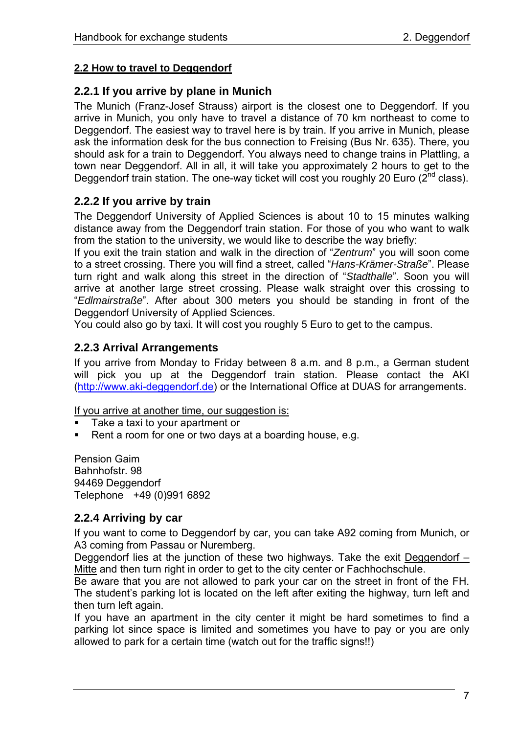## <span id="page-6-0"></span>**2.2 How to travel to Deggendorf**

## **2.2.1 If you arrive by plane in Munich**

The Munich (Franz-Josef Strauss) airport is the closest one to Deggendorf. If you arrive in Munich, you only have to travel a distance of 70 km northeast to come to Deggendorf. The easiest way to travel here is by train. If you arrive in Munich, please ask the information desk for the bus connection to Freising (Bus Nr. 635). There, you should ask for a train to Deggendorf. You always need to change trains in Plattling, a town near Deggendorf. All in all, it will take you approximately 2 hours to get to the Deggendorf train station. The one-way ticket will cost you roughly 20 Euro ( $2^{nd}$  class).

# **2.2.2 If you arrive by train**

The Deggendorf University of Applied Sciences is about 10 to 15 minutes walking distance away from the Deggendorf train station. For those of you who want to walk from the station to the university, we would like to describe the way briefly:

If you exit the train station and walk in the direction of "*Zentrum*" you will soon come to a street crossing. There you will find a street, called "*Hans-Krämer-Straße*". Please turn right and walk along this street in the direction of "*Stadthalle*". Soon you will arrive at another large street crossing. Please walk straight over this crossing to "*Edlmairstraße*". After about 300 meters you should be standing in front of the Deggendorf University of Applied Sciences.

You could also go by taxi. It will cost you roughly 5 Euro to get to the campus.

# **2.2.3 Arrival Arrangements**

If you arrive from Monday to Friday between 8 a.m. and 8 p.m., a German student will pick you up at the Deggendorf train station. Please contact the AKI [\(http://www.aki-deggendorf.de](http://www.aki.deg.net/)) or the International Office at DUAS for arrangements.

If you arrive at another time, our suggestion is:

- Take a taxi to your apartment or
- Rent a room for one or two days at a boarding house, e.g.

Pension Gaim Bahnhofstr. 98 94469 Deggendorf Telephone +49 (0)991 6892

## **2.2.4 Arriving by car**

If you want to come to Deggendorf by car, you can take A92 coming from Munich, or A3 coming from Passau or Nuremberg.

Deggendorf lies at the junction of these two highways. Take the exit Deggendorf – Mitte and then turn right in order to get to the city center or Fachhochschule.

Be aware that you are not allowed to park your car on the street in front of the FH. The student's parking lot is located on the left after exiting the highway, turn left and then turn left again.

If you have an apartment in the city center it might be hard sometimes to find a parking lot since space is limited and sometimes you have to pay or you are only allowed to park for a certain time (watch out for the traffic signs!!)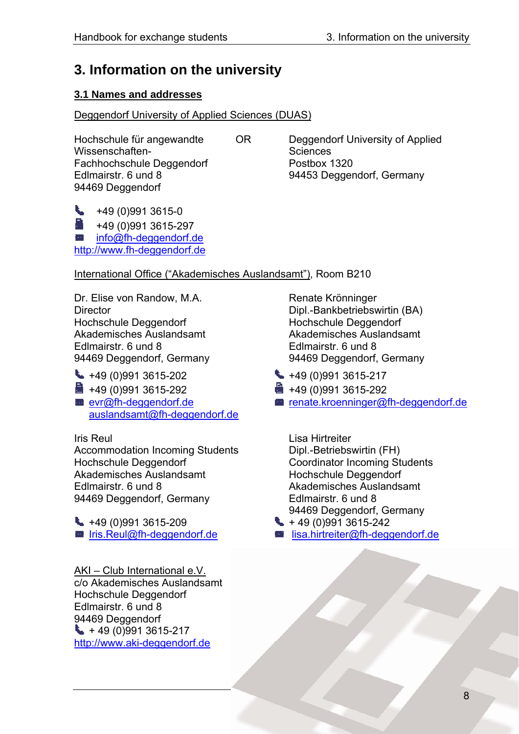# <span id="page-7-0"></span>**3. Information on the university**

# **3.1 Names and addresses**

## Deggendorf University of Applied Sciences (DUAS)

Wissenschaften- Wissenschaften- Sciences Fachhochschule Deggendorf Postbox 1320 Edlmairstr. 6 und 8 8 and 94453 Deggendorf, Germany 94469 Deggendorf

Hochschule für angewandte OR Deggendorf University of Applied

 $\leftarrow$  +49 (0)991 3615-0 +49 (0)991 3615-297 [info@fh-deggendorf.de](mailto:info@fh-deggendorf.de) [http://www.fh-deggendorf.de](http://www.fh-deggendorf.de/)

International Office ("Akademisches Auslandsamt"), Room B210

Dr. Elise von Randow, M.A. Renate Krönninger Director Dipl.-Bankbetriebswirtin (BA) Hochschule Deggendorf Hochschule Deggendorf Akademisches Auslandsamt Akademisches Auslandsamt Edlmairstr. 6 und 8 Edlmairstr. 6 und 8 94469 Deggendorf, Germany 94469 Deggendorf, Germany

 $\leftarrow$  +49 (0)991 3615-202  $\leftarrow$  +49 (0)991 3615-217 +49 (0)991 3615-292 +49 (0)991 3615-292 [auslandsamt@fh-deggendorf.de](mailto:auslandsamt@fh-deggendorf.de) 

Accommodation Incoming Students Dipl.-Betriebswirtin (FH) Hochschule Deggendorf **Coordinator Incoming Students**<br>
Akademisches Auslandsamt **Coordinator Hochschule Deggendorf** Akademisches Auslandsamt Edlmairstr. 6 und 8 Akademisches Auslandsamt 94469 Deggendorf, Germany Edlmairstr. 6 und 8

 $\leftarrow$  +49 (0)991 3615-209  $\leftarrow$  +49 (0)991 3615-242

AKI – Club International e.V. c/o Akademisches Auslandsamt Hochschule Deggendorf Edlmairstr. 6 und 8 94469 Deggendorf  $+ 49 (0)991 3615 - 217$ [http://www.aki-deggendorf.de](http://www.aki.deg.net/)

- 
- 
- [evr@fh-deggendorf.de](mailto:evr@fh-deggendorf.de) [renate.kroenninger@fh-deggendorf.de](mailto:renate.kroenninger@fh-deggendorf.de)

Iris Reul **I**ris Reul Lisa Hirtreiter 94469 Deggendorf, Germany

- 
- lris.Reul@fh-deggendorf.de [lisa.hirtreiter@fh-deggendorf.de](mailto:lisa.hirtreiter@fh-deggendorf.de)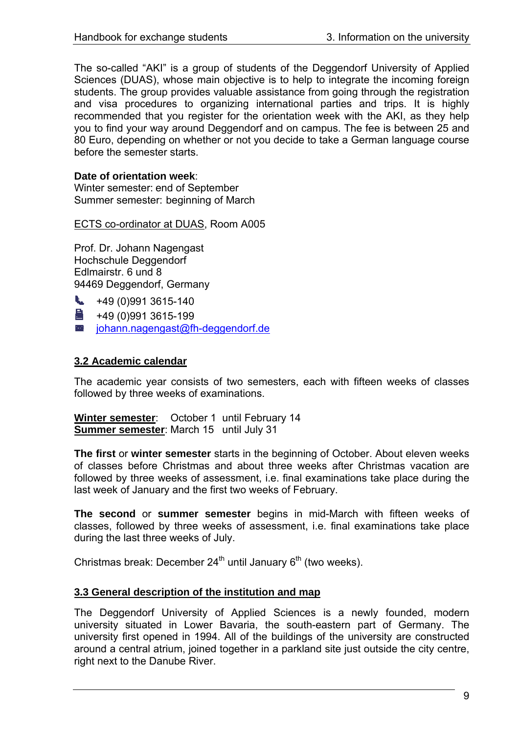<span id="page-8-0"></span>The so-called "AKI" is a group of students of the Deggendorf University of Applied Sciences (DUAS), whose main objective is to help to integrate the incoming foreign students. The group provides valuable assistance from going through the registration and visa procedures to organizing international parties and trips. It is highly recommended that you register for the orientation week with the AKI, as they help you to find your way around Deggendorf and on campus. The fee is between 25 and 80 Euro, depending on whether or not you decide to take a German language course before the semester starts.

## **Date of orientation week**:

Winter semester: end of September Summer semester: beginning of March

ECTS co-ordinator at DUAS, Room A005

Prof. Dr. Johann Nagengast Hochschule Deggendorf Edlmairstr. 6 und 8 94469 Deggendorf, Germany

 $\leftarrow$  +49 (0)991 3615-140

 $\frac{1}{2}$  +49 (0)991 3615-199

**■** [johann.nagengast@fh-deggendorf.de](mailto:johann.nagengast@fh-deggendorf.de)

## **3.2 Academic calendar**

The academic year consists of two semesters, each with fifteen weeks of classes followed by three weeks of examinations.

**Winter semester**: October 1 until February 14 **Summer semester**: March 15 until July 31

**The first** or **winter semester** starts in the beginning of October. About eleven weeks of classes before Christmas and about three weeks after Christmas vacation are followed by three weeks of assessment, i.e. final examinations take place during the last week of January and the first two weeks of February.

**The second** or **summer semester** begins in mid-March with fifteen weeks of classes, followed by three weeks of assessment, i.e. final examinations take place during the last three weeks of July.

Christmas break: December  $24<sup>th</sup>$  until January  $6<sup>th</sup>$  (two weeks).

## **3.3 General description of the institution and map**

The Deggendorf University of Applied Sciences is a newly founded, modern university situated in Lower Bavaria, the south-eastern part of Germany. The university first opened in 1994. All of the buildings of the university are constructed around a central atrium, joined together in a parkland site just outside the city centre, right next to the Danube River.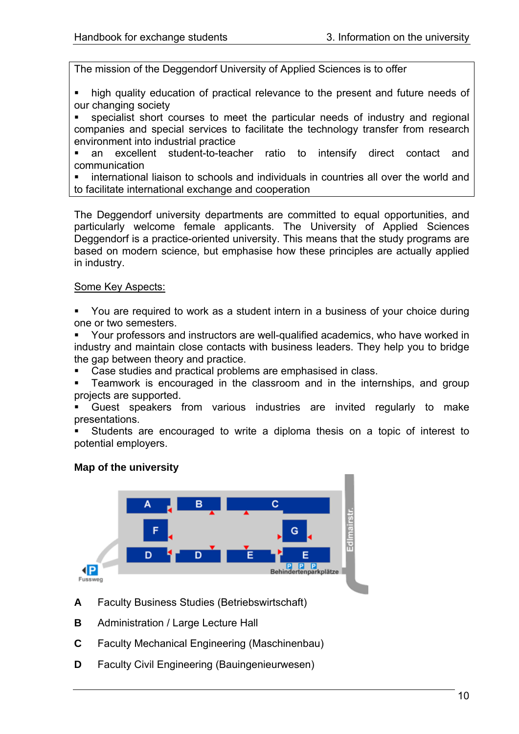The mission of the Deggendorf University of Applied Sciences is to offer

- high quality education of practical relevance to the present and future needs of our changing society
- specialist short courses to meet the particular needs of industry and regional companies and special services to facilitate the technology transfer from research environment into industrial practice
- an excellent student-to-teacher ratio to intensify direct contact and communication
- international liaison to schools and individuals in countries all over the world and to facilitate international exchange and cooperation

The Deggendorf university departments are committed to equal opportunities, and particularly welcome female applicants. The University of Applied Sciences Deggendorf is a practice-oriented university. This means that the study programs are based on modern science, but emphasise how these principles are actually applied in industry.

### Some Key Aspects:

- You are required to work as a student intern in a business of your choice during one or two semesters.
- Your professors and instructors are well-qualified academics, who have worked in industry and maintain close contacts with business leaders. They help you to bridge the gap between theory and practice.
- Case studies and practical problems are emphasised in class.
- Teamwork is encouraged in the classroom and in the internships, and group projects are supported.
- Guest speakers from various industries are invited regularly to make presentations.
- Students are encouraged to write a diploma thesis on a topic of interest to potential employers.

# **Map of the university**



- **A** Faculty Business Studies (Betriebswirtschaft)
- **B** Administration / Large Lecture Hall
- **C** Faculty Mechanical Engineering (Maschinenbau)
- **D** Faculty Civil Engineering (Bauingenieurwesen)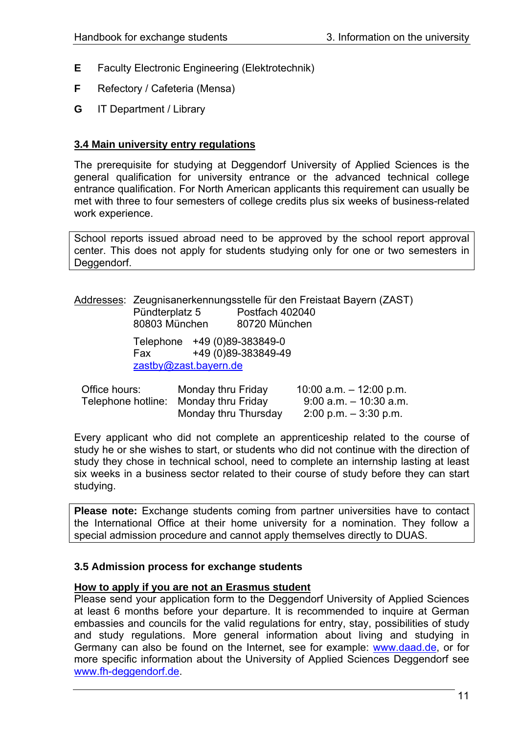- <span id="page-10-0"></span>**E** Faculty Electronic Engineering (Elektrotechnik)
- **F** Refectory / Cafeteria (Mensa)
- **G** IT Department / Library

#### **3.4 Main university entry regulations**

The prerequisite for studying at Deggendorf University of Applied Sciences is the general qualification for university entrance or the advanced technical college entrance qualification. For North American applicants this requirement can usually be met with three to four semesters of college credits plus six weeks of business-related work experience.

School reports issued abroad need to be approved by the school report approval center. This does not apply for students studying only for one or two semesters in Deggendorf.

|                              | Addresses: Zeugnisanerkennungsstelle für den Freistaat Bayern (ZAST) |
|------------------------------|----------------------------------------------------------------------|
| Pündterplatz 5               | Postfach 402040                                                      |
| 80803 München                | 80720 München                                                        |
| Telephone +49 (0)89-383849-0 |                                                                      |
| Fax                          | +49 (0)89-383849-49                                                  |
| zastby@zast.bayern.de        |                                                                      |
|                              |                                                                      |

| Office hours: | Monday thru Friday                    | 10:00 a.m. $-$ 12:00 p.m. |
|---------------|---------------------------------------|---------------------------|
|               | Telephone hotline: Monday thru Friday | $9.00$ a.m. $-10.30$ a.m. |
|               | Monday thru Thursday                  | $2:00$ p.m. $-3:30$ p.m.  |

Every applicant who did not complete an apprenticeship related to the course of study he or she wishes to start, or students who did not continue with the direction of study they chose in technical school, need to complete an internship lasting at least six weeks in a business sector related to their course of study before they can start studying.

**Please note:** Exchange students coming from partner universities have to contact the International Office at their home university for a nomination. They follow a special admission procedure and cannot apply themselves directly to DUAS.

#### **3.5 Admission process for exchange students**

### **How to apply if you are not an Erasmus student**

Please send your application form to the Deggendorf University of Applied Sciences at least 6 months before your departure. It is recommended to inquire at German embassies and councils for the valid regulations for entry, stay, possibilities of study and study regulations. More general information about living and studying in Germany can also be found on the Internet, see for example: [www.daad.de,](http://www.daad.de/) or for more specific information about the University of Applied Sciences Deggendorf see [www.fh-deggendorf.de.](http://www.fh-deggendorf.de/)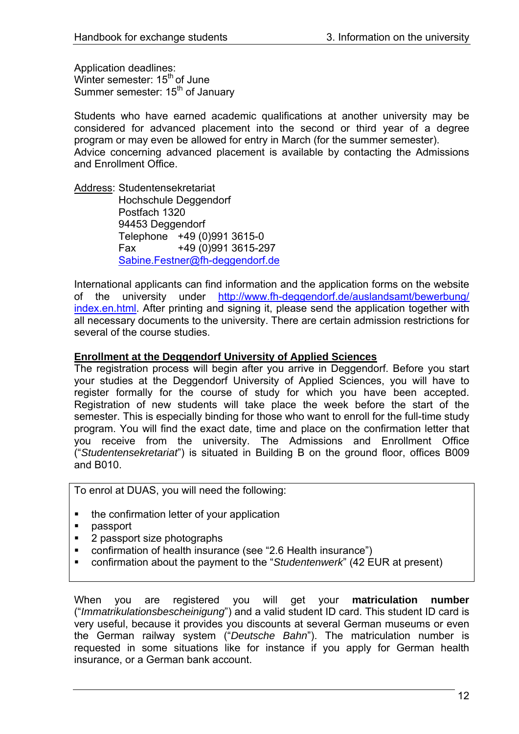Application deadlines: Winter semester: 15<sup>th</sup> of June Summer semester: 15<sup>th</sup> of January

Students who have earned academic qualifications at another university may be considered for advanced placement into the second or third year of a degree program or may even be allowed for entry in March (for the summer semester). Advice concerning advanced placement is available by contacting the Admissions and Enrollment Office.

Address: Studentensekretariat Hochschule Deggendorf Postfach 1320 94453 Deggendorf Telephone +49 (0)991 3615-0 Fax +49 (0)991 3615-297 [Sabine.Festner@fh-deggendorf.de](mailto:Sabine.Festner@fh-deggendorf.de)

International applicants can find information and the application forms on the website of the university under [http://www.fh-deggendorf.de/auslandsamt/bewerbung/](http://www.fh-deggendorf.de/auslandsamt/bewerbung/index.en.html) [index.en.html](http://www.fh-deggendorf.de/auslandsamt/bewerbung/index.en.html). After printing and signing it, please send the application together with all necessary documents to the university. There are certain admission restrictions for several of the course studies.

## **Enrollment at the Deggendorf University of Applied Sciences**

The registration process will begin after you arrive in Deggendorf. Before you start your studies at the Deggendorf University of Applied Sciences, you will have to register formally for the course of study for which you have been accepted. Registration of new students will take place the week before the start of the semester. This is especially binding for those who want to enroll for the full-time study program. You will find the exact date, time and place on the confirmation letter that you receive from the university. The Admissions and Enrollment Office ("*Studentensekretariat*") is situated in Building B on the ground floor, offices B009 and B010.

To enrol at DUAS, you will need the following:

- the confirmation letter of your application
- passport
- 2 passport size photographs
- confirmation of health insurance (see "2.6 Health insurance")
- confirmation about the payment to the "*Studentenwerk*" (42 EUR at present)

When you are registered you will get your **matriculation number** ("*Immatrikulationsbescheinigung*") and a valid student ID card. This student ID card is very useful, because it provides you discounts at several German museums or even the German railway system ("*Deutsche Bahn*"). The matriculation number is requested in some situations like for instance if you apply for German health insurance, or a German bank account.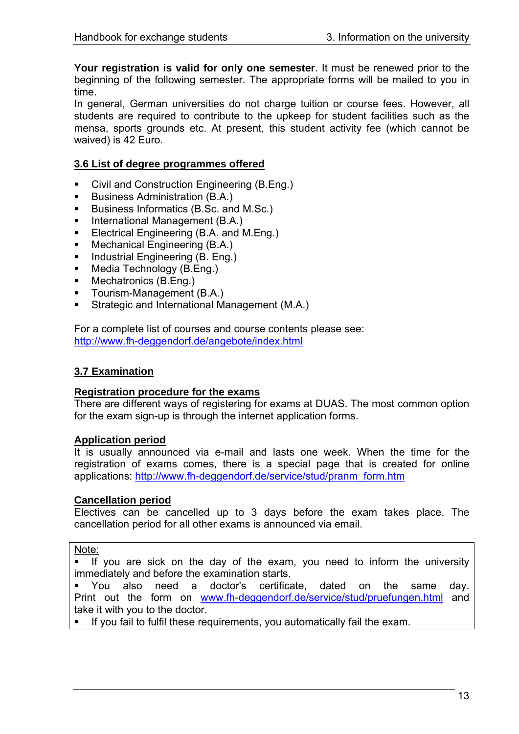<span id="page-12-0"></span>**Your registration is valid for only one semester**. It must be renewed prior to the beginning of the following semester. The appropriate forms will be mailed to you in time.

In general, German universities do not charge tuition or course fees. However, all students are required to contribute to the upkeep for student facilities such as the mensa, sports grounds etc. At present, this student activity fee (which cannot be waived) is 42 Euro.

## **3.6 List of degree programmes offered**

- Civil and Construction Engineering (B.Eng.)
- Business Administration (B.A.)
- Business Informatics (B.Sc. and M.Sc.)
- International Management (B.A.)
- **Electrical Engineering (B.A. and M.Eng.)**
- Mechanical Engineering (B.A.)
- Industrial Engineering (B. Eng.)
- **Media Technology (B.Eng.)**
- **Mechatronics (B.Eng.)**
- **Tourism-Management (B.A.)**
- **Strategic and International Management (M.A.)**

For a complete list of courses and course contents please see: <http://www.fh-deggendorf.de/angebote/index.html>

## **3.7 Examination**

#### **Registration procedure for the exams**

There are different ways of registering for exams at DUAS. The most common option for the exam sign-up is through the internet application forms.

#### **Application period**

It is usually announced via e-mail and lasts one week. When the time for the registration of exams comes, there is a special page that is created for online applications: [http://www.fh-deggendorf.de/service/stud/pranm\\_form.htm](http://www.fh-deggendorf.de/service/stud/pranm_form.htm)

#### **Cancellation period**

Electives can be cancelled up to 3 days before the exam takes place. The cancellation period for all other exams is announced via email.

#### Note:

 If you are sick on the day of the exam, you need to inform the university immediately and before the examination starts.

 You also need a doctor's certificate, dated on the same day. Print out the form on [www.fh-deggendorf.de/service/stud/pruefungen.html](http://www.fh-deggendorf.de/service/stud/pruefungen.html) and take it with you to the doctor.

If you fail to fulfil these requirements, you automatically fail the exam.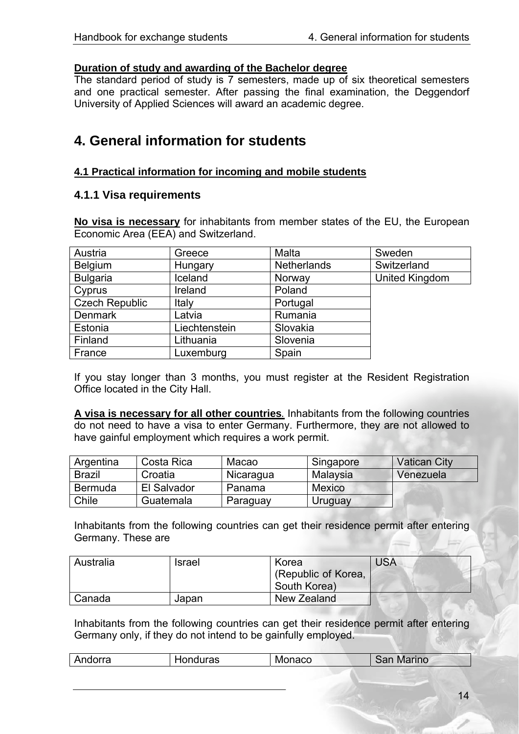### <span id="page-13-0"></span>**Duration of study and awarding of the Bachelor degree**

The standard period of study is 7 semesters, made up of six theoretical semesters and one practical semester. After passing the final examination, the Deggendorf University of Applied Sciences will award an academic degree.

# **4. General information for students**

## **4.1 Practical information for incoming and mobile students**

### **4.1.1 Visa requirements**

**No visa is necessary** for inhabitants from member states of the EU, the European Economic Area (EEA) and Switzerland.

| Austria               | Greece        | Malta              | Sweden                |
|-----------------------|---------------|--------------------|-----------------------|
| <b>Belgium</b>        | Hungary       | <b>Netherlands</b> | Switzerland           |
| <b>Bulgaria</b>       | Iceland       | Norway             | <b>United Kingdom</b> |
| Cyprus                | Ireland       | Poland             |                       |
| <b>Czech Republic</b> | Italy         | Portugal           |                       |
| <b>Denmark</b>        | Latvia        | Rumania            |                       |
| Estonia               | Liechtenstein | Slovakia           |                       |
| Finland               | Lithuania     | Slovenia           |                       |
| France                | Luxemburg     | Spain              |                       |

If you stay longer than 3 months, you must register at the Resident Registration Office located in the City Hall.

**A visa is necessary for all other countries***.* Inhabitants from the following countries do not need to have a visa to enter Germany. Furthermore, they are not allowed to have gainful employment which requires a work permit.

| Argentina     | Costa Rica  | Macao     | Singapore     | <b>Vatican City</b> |
|---------------|-------------|-----------|---------------|---------------------|
| <b>Brazil</b> | Croatia     | Nicaragua | Malaysia      | Venezuela           |
| Bermuda       | El Salvador | Panama    | <b>Mexico</b> |                     |
| Chile         | Guatemala   | Paraguay  | Uruguay       |                     |

Inhabitants from the following countries can get their residence permit after entering Germany. These are

| Australia | <b>Israel</b> | Korea               | <b>USA</b> |
|-----------|---------------|---------------------|------------|
|           |               | (Republic of Korea, |            |
|           |               | South Korea)        |            |
| ' Canada  | Japan         | New Zealand         |            |

Inhabitants from the following countries can get their residence permit after entering Germany only, if they do not intend to be gainfully employed.

| Andorra | duras<br>-iU' | Monaco | Marino<br>:nn |  |
|---------|---------------|--------|---------------|--|
|         |               |        |               |  |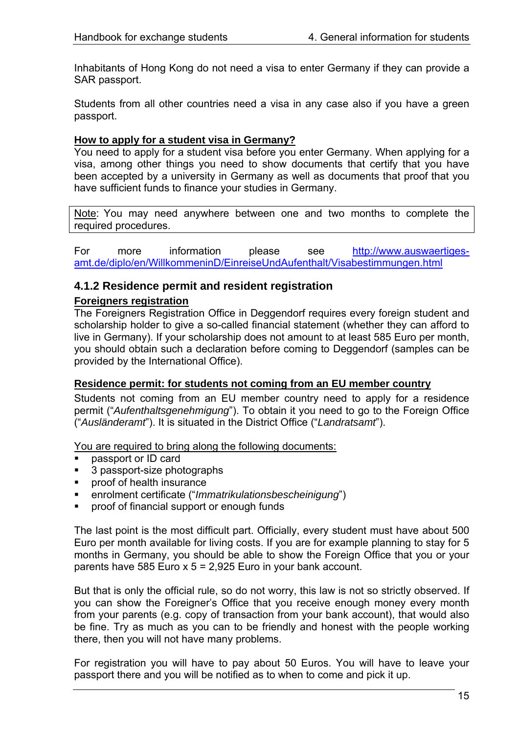<span id="page-14-0"></span>Inhabitants of Hong Kong do not need a visa to enter Germany if they can provide a SAR passport.

Students from all other countries need a visa in any case also if you have a green passport.

### **How to apply for a student visa in Germany?**

You need to apply for a student visa before you enter Germany. When applying for a visa, among other things you need to show documents that certify that you have been accepted by a university in Germany as well as documents that proof that you have sufficient funds to finance your studies in Germany.

Note: You may need anywhere between one and two months to complete the required procedures.

For more information please see [http://www.auswaertiges](http://www.auswaertiges-amt.de/diplo/en/WillkommeninD/EinreiseUndAufenthalt/Visabestimmungen.html)[amt.de/diplo/en/WillkommeninD/EinreiseUndAufenthalt/Visabestimmungen.html](http://www.auswaertiges-amt.de/diplo/en/WillkommeninD/EinreiseUndAufenthalt/Visabestimmungen.html)

## **4.1.2 Residence permit and resident registration**

## **Foreigners registration**

The Foreigners Registration Office in Deggendorf requires every foreign student and scholarship holder to give a so-called financial statement (whether they can afford to live in Germany). If your scholarship does not amount to at least 585 Euro per month, you should obtain such a declaration before coming to Deggendorf (samples can be provided by the International Office).

#### **Residence permit: for students not coming from an EU member country**

Students not coming from an EU member country need to apply for a residence permit ("*Aufenthaltsgenehmigung*"). To obtain it you need to go to the Foreign Office ("*Ausländeramt*"). It is situated in the District Office ("*Landratsamt*").

You are required to bring along the following documents:

- passport or ID card
- 3 passport-size photographs
- proof of health insurance
- enrolment certificate ("*Immatrikulationsbescheinigung*")
- proof of financial support or enough funds

The last point is the most difficult part. Officially, every student must have about 500 Euro per month available for living costs. If you are for example planning to stay for 5 months in Germany, you should be able to show the Foreign Office that you or your parents have 585 Euro  $x$  5 = 2,925 Euro in your bank account.

But that is only the official rule, so do not worry, this law is not so strictly observed. If you can show the Foreigner's Office that you receive enough money every month from your parents (e.g. copy of transaction from your bank account), that would also be fine. Try as much as you can to be friendly and honest with the people working there, then you will not have many problems.

For registration you will have to pay about 50 Euros. You will have to leave your passport there and you will be notified as to when to come and pick it up.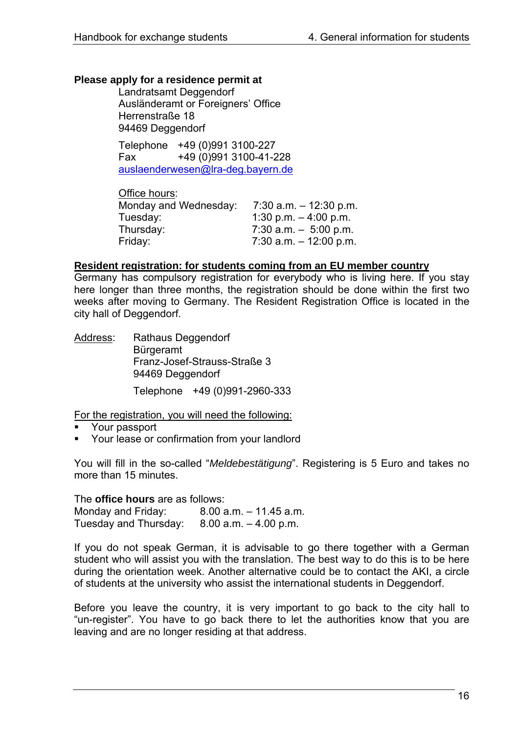## **Please apply for a residence permit at**

Landratsamt Deggendorf Ausländeramt or Foreigners' Office Herrenstraße 18 94469 Deggendorf

Telephone +49 (0)991 3100-227 Fax +49 (0)991 3100-41-228 [auslaenderwesen@lra-deg.bayern.de](mailto:auslaenderwesen@lra-deg.bayern.de)

| Office hours:         |                           |
|-----------------------|---------------------------|
| Monday and Wednesday: | $7:30$ a.m. $-12:30$ p.m. |
| Tuesday:              | 1:30 p.m. $-4:00$ p.m.    |
| Thursday:             | $7:30$ a.m. $-5:00$ p.m.  |
| Friday:               | 7:30 a.m. $-$ 12:00 p.m.  |

#### **Resident registration: for students coming from an EU member country**

Germany has compulsory registration for everybody who is living here. If you stay here longer than three months, the registration should be done within the first two weeks after moving to Germany. The Resident Registration Office is located in the city hall of Deggendorf.

Address: Rathaus Deggendorf **Bürgeramt** Franz-Josef-Strauss-Straße 3 94469 Deggendorf Telephone +49 (0)991-2960-333

For the registration, you will need the following:

- Your passport
- Your lease or confirmation from your landlord

You will fill in the so-called "*Meldebestätigung*". Registering is 5 Euro and takes no more than 15 minutes.

The **office hours** are as follows:

Monday and Friday:  $8.00$  a.m.  $-11.45$  a.m. Tuesday and Thursday: 8.00 a.m. – 4.00 p.m.

If you do not speak German, it is advisable to go there together with a German student who will assist you with the translation. The best way to do this is to be here during the orientation week. Another alternative could be to contact the AKI, a circle of students at the university who assist the international students in Deggendorf.

Before you leave the country, it is very important to go back to the city hall to "un-register". You have to go back there to let the authorities know that you are leaving and are no longer residing at that address.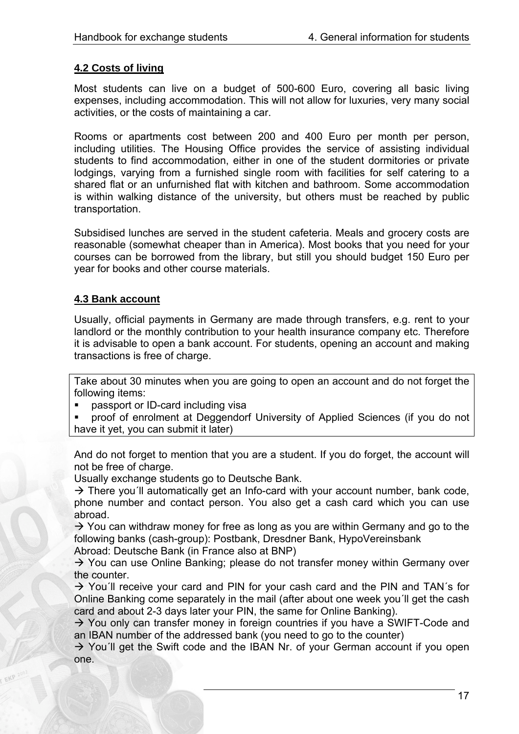## <span id="page-16-0"></span>**4.2 Costs of living**

Most students can live on a budget of 500-600 Euro, covering all basic living expenses, including accommodation. This will not allow for luxuries, very many social activities, or the costs of maintaining a car.

Rooms or apartments cost between 200 and 400 Euro per month per person, including utilities. The Housing Office provides the service of assisting individual students to find accommodation, either in one of the student dormitories or private lodgings, varying from a furnished single room with facilities for self catering to a shared flat or an unfurnished flat with kitchen and bathroom. Some accommodation is within walking distance of the university, but others must be reached by public transportation.

Subsidised lunches are served in the student cafeteria. Meals and grocery costs are reasonable (somewhat cheaper than in America). Most books that you need for your courses can be borrowed from the library, but still you should budget 150 Euro per year for books and other course materials.

## **4.3 Bank account**

Usually, official payments in Germany are made through transfers, e.g. rent to your landlord or the monthly contribution to your health insurance company etc. Therefore it is advisable to open a bank account. For students, opening an account and making transactions is free of charge.

Take about 30 minutes when you are going to open an account and do not forget the following items:

- passport or ID-card including visa
- **•** proof of enrolment at Deggendorf University of Applied Sciences (if you do not have it yet, you can submit it later)

And do not forget to mention that you are a student. If you do forget, the account will not be free of charge.

Usually exchange students go to Deutsche Bank.

 $\rightarrow$  There you'll automatically get an Info-card with your account number, bank code, phone number and contact person. You also get a cash card which you can use abroad.

 $\rightarrow$  You can withdraw money for free as long as you are within Germany and go to the following banks (cash-group): Postbank, Dresdner Bank, HypoVereinsbank

Abroad: Deutsche Bank (in France also at BNP)

 $\rightarrow$  You can use Online Banking; please do not transfer money within Germany over the counter.

 $\rightarrow$  You'll receive your card and PIN for your cash card and the PIN and TAN's for Online Banking come separately in the mail (after about one week you´ll get the cash card and about 2-3 days later your PIN, the same for Online Banking).

 $\rightarrow$  You only can transfer money in foreign countries if you have a SWIFT-Code and an IBAN number of the addressed bank (you need to go to the counter)

 $\rightarrow$  You'll get the Swift code and the IBAN Nr. of your German account if you open one.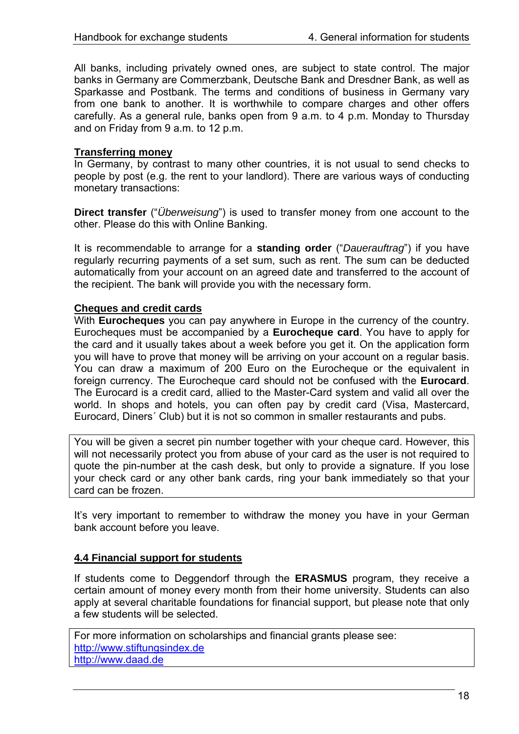<span id="page-17-0"></span>All banks, including privately owned ones, are subject to state control. The major banks in Germany are Commerzbank, Deutsche Bank and Dresdner Bank, as well as Sparkasse and Postbank. The terms and conditions of business in Germany vary from one bank to another. It is worthwhile to compare charges and other offers carefully. As a general rule, banks open from 9 a.m. to 4 p.m. Monday to Thursday and on Friday from 9 a.m. to 12 p.m.

### **Transferring money**

In Germany, by contrast to many other countries, it is not usual to send checks to people by post (e.g. the rent to your landlord). There are various ways of conducting monetary transactions:

**Direct transfer** ("*Überweisung*") is used to transfer money from one account to the other. Please do this with Online Banking.

It is recommendable to arrange for a **standing order** ("*Dauerauftrag*") if you have regularly recurring payments of a set sum, such as rent. The sum can be deducted automatically from your account on an agreed date and transferred to the account of the recipient. The bank will provide you with the necessary form.

#### **Cheques and credit cards**

With **Eurocheques** you can pay anywhere in Europe in the currency of the country. Eurocheques must be accompanied by a **Eurocheque card**. You have to apply for the card and it usually takes about a week before you get it. On the application form you will have to prove that money will be arriving on your account on a regular basis. You can draw a maximum of 200 Euro on the Eurocheque or the equivalent in foreign currency. The Eurocheque card should not be confused with the **Eurocard**. The Eurocard is a credit card, allied to the Master-Card system and valid all over the world. In shops and hotels, you can often pay by credit card (Visa, Mastercard, Eurocard, Diners´ Club) but it is not so common in smaller restaurants and pubs.

You will be given a secret pin number together with your cheque card. However, this will not necessarily protect you from abuse of your card as the user is not required to quote the pin-number at the cash desk, but only to provide a signature. If you lose your check card or any other bank cards, ring your bank immediately so that your card can be frozen.

It's very important to remember to withdraw the money you have in your German bank account before you leave.

#### **4.4 Financial support for students**

If students come to Deggendorf through the **ERASMUS** program, they receive a certain amount of money every month from their home university. Students can also apply at several charitable foundations for financial support, but please note that only a few students will be selected.

For more information on scholarships and financial grants please see: [http://www.stiftungsindex.de](http://www.stiftungsindex.de/) [http://www.daad.de](http://www.daad.de/)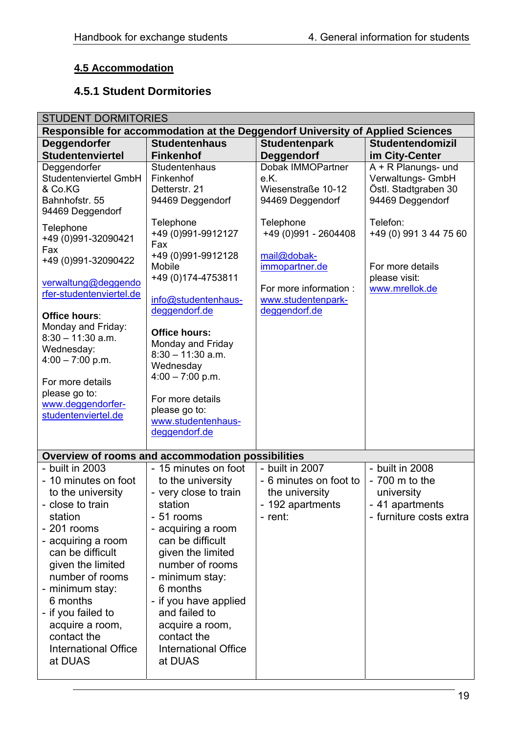# <span id="page-18-0"></span>**4.5 Accommodation**

# **4.5.1 Student Dormitories**

| <b>STUDENT DORMITORIES</b>                                                                                                                                                                                                                                                                                                     |                                                                                                                                                                                                                                                                                                                                    |                                                                                            |                                                                                                |
|--------------------------------------------------------------------------------------------------------------------------------------------------------------------------------------------------------------------------------------------------------------------------------------------------------------------------------|------------------------------------------------------------------------------------------------------------------------------------------------------------------------------------------------------------------------------------------------------------------------------------------------------------------------------------|--------------------------------------------------------------------------------------------|------------------------------------------------------------------------------------------------|
| Responsible for accommodation at the Deggendorf University of Applied Sciences                                                                                                                                                                                                                                                 |                                                                                                                                                                                                                                                                                                                                    |                                                                                            |                                                                                                |
| Deggendorfer<br><b>Studentenviertel</b>                                                                                                                                                                                                                                                                                        | <b>Studentenhaus</b><br><b>Finkenhof</b>                                                                                                                                                                                                                                                                                           | <b>Studentenpark</b><br>Deggendorf                                                         | <b>Studentendomizil</b><br>im City-Center                                                      |
| Deggendorfer<br>Studentenviertel GmbH<br>& Co.KG<br>Bahnhofstr. 55<br>94469 Deggendorf                                                                                                                                                                                                                                         | Studentenhaus<br>Finkenhof<br>Detterstr. 21<br>94469 Deggendorf                                                                                                                                                                                                                                                                    | Dobak IMMOPartner<br>e.K.<br>Wiesenstraße 10-12<br>94469 Deggendorf                        | A + R Planungs- und<br>Verwaltungs- GmbH<br>Östl. Stadtgraben 30<br>94469 Deggendorf           |
| Telephone<br>+49 (0)991-32090421<br>Fax<br>+49 (0)991-32090422                                                                                                                                                                                                                                                                 | Telephone<br>+49 (0)991-9912127<br>Fax<br>+49 (0)991-9912128<br>Mobile                                                                                                                                                                                                                                                             | Telephone<br>+49 (0)991 - 2604408<br>mail@dobak-<br>immopartner.de                         | Telefon:<br>+49 (0) 991 3 44 75 60<br>For more details<br>please visit:                        |
| verwaltung@deggendo<br>rfer-studentenviertel.de                                                                                                                                                                                                                                                                                | +49 (0) 174-4753811<br>info@studentenhaus-                                                                                                                                                                                                                                                                                         | For more information :<br>www.studentenpark-                                               | www.mrellok.de                                                                                 |
| Office hours:<br>Monday and Friday:<br>$8:30 - 11:30$ a.m.<br>Wednesday:<br>$4:00 - 7:00$ p.m.<br>For more details<br>please go to:<br>www.deggendorfer-<br>studentenviertel.de                                                                                                                                                | deggendorf.de<br><b>Office hours:</b><br>Monday and Friday<br>$8:30 - 11:30$ a.m.<br>Wednesday<br>$4:00 - 7:00$ p.m.<br>For more details<br>please go to:<br>www.studentenhaus-<br>deggendorf.de                                                                                                                                   | deggendorf.de                                                                              |                                                                                                |
|                                                                                                                                                                                                                                                                                                                                | Overview of rooms and accommodation possibilities                                                                                                                                                                                                                                                                                  |                                                                                            |                                                                                                |
| - built in 2003<br>- 10 minutes on foot<br>to the university<br>- close to train<br>station<br>$-201$ rooms<br>- acquiring a room<br>can be difficult<br>given the limited<br>number of rooms<br>- minimum stay:<br>6 months<br>- if you failed to<br>acquire a room,<br>contact the<br><b>International Office</b><br>at DUAS | - 15 minutes on foot<br>to the university<br>- very close to train<br>station<br>- 51 rooms<br>- acquiring a room<br>can be difficult<br>given the limited<br>number of rooms<br>- minimum stay:<br>6 months<br>- if you have applied<br>and failed to<br>acquire a room,<br>contact the<br><b>International Office</b><br>at DUAS | - built in 2007<br>- 6 minutes on foot to<br>the university<br>- 192 apartments<br>- rent: | - built in 2008<br>$-700$ m to the<br>university<br>- 41 apartments<br>- furniture costs extra |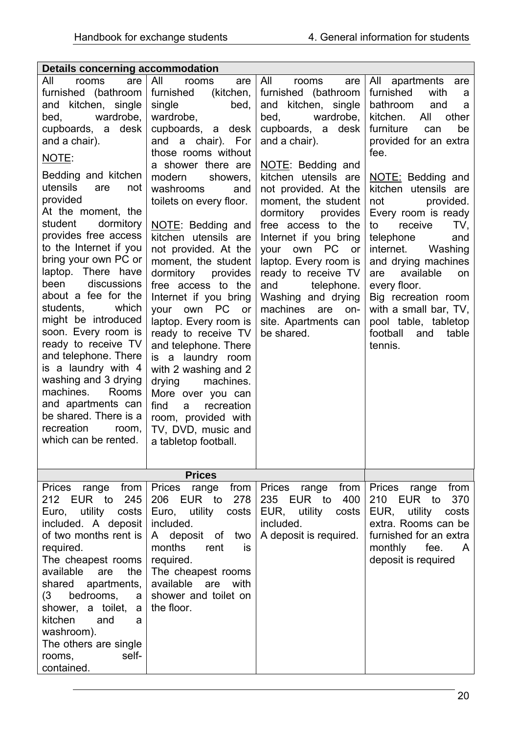| Details concerning accommodation                                                                                                                                                                                                                                                                                                                                                                                                                                                                                                            |                                                                                                                                                                                                                                                                                                                                                                                                                                                                                                                          |                                                                                                                                                                                                                                                                                                                                       |                                                                                                                                                                                                                                                                                                                                          |
|---------------------------------------------------------------------------------------------------------------------------------------------------------------------------------------------------------------------------------------------------------------------------------------------------------------------------------------------------------------------------------------------------------------------------------------------------------------------------------------------------------------------------------------------|--------------------------------------------------------------------------------------------------------------------------------------------------------------------------------------------------------------------------------------------------------------------------------------------------------------------------------------------------------------------------------------------------------------------------------------------------------------------------------------------------------------------------|---------------------------------------------------------------------------------------------------------------------------------------------------------------------------------------------------------------------------------------------------------------------------------------------------------------------------------------|------------------------------------------------------------------------------------------------------------------------------------------------------------------------------------------------------------------------------------------------------------------------------------------------------------------------------------------|
| All<br>are<br>rooms<br>furnished (bathroom<br>and kitchen, single<br>wardrobe,<br>bed,<br>cupboards, a desk<br>and a chair).<br>NOTE:                                                                                                                                                                                                                                                                                                                                                                                                       | All<br>rooms<br>are<br>furnished<br>(kitchen,<br>single<br>bed,<br>wardrobe,<br>cupboards, a desk<br>and a chair). For<br>those rooms without<br>a shower there are                                                                                                                                                                                                                                                                                                                                                      | All<br>rooms<br>are<br>furnished (bathroom<br>and kitchen, single<br>bed,<br>wardrobe,<br>cupboards, a desk<br>and a chair).<br>NOTE: Bedding and                                                                                                                                                                                     | All apartments are<br>furnished<br>with<br>a<br>bathroom<br>and<br>a<br>kitchen.<br>other<br>All<br>furniture<br>be<br>can<br>provided for an extra<br>fee.                                                                                                                                                                              |
| Bedding and kitchen<br>utensils<br>are<br>not<br>provided<br>At the moment, the<br>student<br>dormitory<br>provides free access<br>to the Internet if you<br>bring your own PC or<br>laptop. There have<br>discussions<br>been<br>about a fee for the<br>which<br>students,<br>might be introduced<br>soon. Every room is<br>ready to receive TV<br>and telephone. There<br>is a laundry with 4<br>washing and 3 drying<br>machines.<br>Rooms<br>and apartments can<br>be shared. There is a<br>recreation<br>room,<br>which can be rented. | showers,<br>modern<br>washrooms<br>and<br>toilets on every floor.<br>NOTE: Bedding and<br>kitchen utensils are<br>not provided. At the<br>moment, the student<br>dormitory<br>provides<br>free access to the<br>Internet if you bring<br>your own PC or<br>laptop. Every room is<br>ready to receive TV<br>and telephone. There<br>is a laundry room<br>with 2 washing and 2<br>machines.<br>drying<br>More over you can<br>find<br>a<br>recreation<br>room, provided with<br>TV, DVD, music and<br>a tabletop football. | kitchen utensils are<br>not provided. At the<br>moment, the student<br>dormitory<br>provides<br>free access to the<br>Internet if you bring<br>own PC<br>your<br><b>or</b><br>laptop. Every room is<br>ready to receive TV<br>telephone.<br>and<br>Washing and drying<br>machines<br>are<br>on-<br>site. Apartments can<br>be shared. | NOTE: Bedding and<br>kitchen utensils are<br>provided.<br>not<br>Every room is ready<br>to<br>receive<br>TV,<br>telephone<br>and<br>internet.<br>Washing<br>and drying machines<br>available<br>are<br>on<br>every floor.<br>Big recreation room<br>with a small bar, TV,<br>pool table, tabletop<br>football<br>and<br>table<br>tennis. |
|                                                                                                                                                                                                                                                                                                                                                                                                                                                                                                                                             | <b>Prices</b>                                                                                                                                                                                                                                                                                                                                                                                                                                                                                                            |                                                                                                                                                                                                                                                                                                                                       |                                                                                                                                                                                                                                                                                                                                          |
| <b>Prices</b><br>range<br>from<br>212 EUR to<br>245<br>Euro, utility<br>costs<br>included. A deposit<br>of two months rent is<br>required.<br>The cheapest rooms<br>available<br>the<br>are<br>apartments,<br>shared<br>(3)<br>bedrooms,<br>a<br>shower, a toilet.<br>a<br>kitchen<br>and<br>a<br>washroom).<br>The others are single<br>self-<br>rooms,<br>contained.                                                                                                                                                                      | Prices<br>from<br>range<br>206<br>EUR to<br>278<br>Euro, utility<br>costs<br>included.<br>A deposit of<br>two<br>months<br>rent<br>is<br>required.<br>The cheapest rooms<br>available<br>are<br>with<br>shower and toilet on<br>the floor.                                                                                                                                                                                                                                                                               | Prices<br>range<br>from<br>235<br>EUR to<br>400<br>EUR,<br>utility<br>costs<br>included.<br>A deposit is required.                                                                                                                                                                                                                    | <b>Prices</b><br>from<br>range<br>210<br>EUR to<br>370<br>EUR, utility<br>costs<br>extra. Rooms can be<br>furnished for an extra<br>monthly fee.<br>A<br>deposit is required                                                                                                                                                             |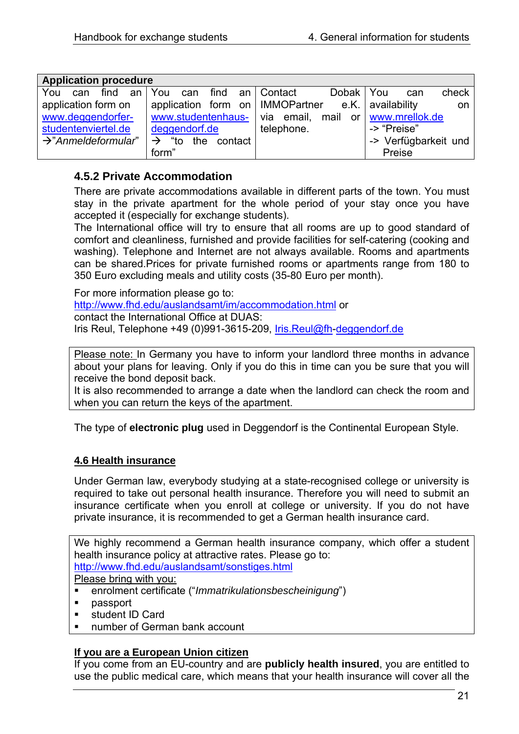<span id="page-20-0"></span>

| <b>Application procedure</b>    |                                      |             |                         |
|---------------------------------|--------------------------------------|-------------|-------------------------|
| find an You<br>You<br>can       | can find an Contact                  | Dobak   You | check<br>can            |
| application form on             | application form on   IMMOPartner    |             | e.K. availability<br>on |
| www.deggendorfer-               | www.studentenhaus-   via email, mail |             | or www.mrellok.de       |
| studentenviertel.de             | deggendorf.de                        | telephone.  | -> "Preise"             |
| $\rightarrow$ "Anmeldeformular" | "to the contact<br>$\rightarrow$     |             | -> Verfügbarkeit und    |
|                                 | form"                                |             | Preise                  |

# **4.5.2 Private Accommodation**

There are private accommodations available in different parts of the town. You must stay in the private apartment for the whole period of your stay once you have accepted it (especially for exchange students).

The International office will try to ensure that all rooms are up to good standard of comfort and cleanliness, furnished and provide facilities for self-catering (cooking and washing). Telephone and Internet are not always available. Rooms and apartments can be shared.Prices for private furnished rooms or apartments range from 180 to 350 Euro excluding meals and utility costs (35-80 Euro per month).

For more information please go to: <http://www.fhd.edu/auslandsamt/im/accommodation.html>or contact the International Office at DUAS: Iris Reul, Telephone +49 (0)991-3615-209, [Iris.Reul@fh-](mailto:Iris.Reul@fh)deggendorf.de

Please note: In Germany you have to inform your landlord three months in advance about your plans for leaving. Only if you do this in time can you be sure that you will receive the bond deposit back.

It is also recommended to arrange a date when the landlord can check the room and when you can return the keys of the apartment.

The type of **electronic plug** used in Deggendorf is the Continental European Style.

## **4.6 Health insurance**

Under German law, everybody studying at a state-recognised college or university is required to take out personal health insurance. Therefore you will need to submit an insurance certificate when you enroll at college or university. If you do not have private insurance, it is recommended to get a German health insurance card.

We highly recommend a German health insurance company, which offer a student health insurance policy at attractive rates. Please go to: <http://www.fhd.edu/auslandsamt/sonstiges.html>

Please bring with you:

- enrolment certificate ("*Immatrikulationsbescheinigung*")
- **passport**
- student ID Card
- number of German bank account

## **If you are a European Union citizen**

If you come from an EU-country and are **publicly health insured**, you are entitled to use the public medical care, which means that your health insurance will cover all the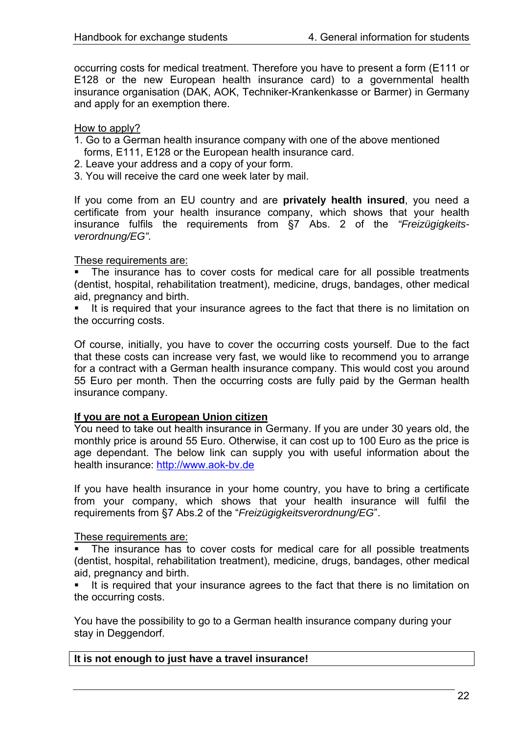occurring costs for medical treatment. Therefore you have to present a form (E111 or E128 or the new European health insurance card) to a governmental health insurance organisation (DAK, AOK, Techniker-Krankenkasse or Barmer) in Germany and apply for an exemption there.

#### How to apply?

- 1. Go to a German health insurance company with one of the above mentioned forms, E111, E128 or the European health insurance card.
- 2. Leave your address and a copy of your form.
- 3. You will receive the card one week later by mail.

If you come from an EU country and are **privately health insured**, you need a certificate from your health insurance company, which shows that your health insurance fulfils the requirements from §7 Abs. 2 of the *"Freizügigkeitsverordnung/EG".* 

#### These requirements are:

 The insurance has to cover costs for medical care for all possible treatments (dentist, hospital, rehabilitation treatment), medicine, drugs, bandages, other medical aid, pregnancy and birth.

 It is required that your insurance agrees to the fact that there is no limitation on the occurring costs.

Of course, initially, you have to cover the occurring costs yourself. Due to the fact that these costs can increase very fast, we would like to recommend you to arrange for a contract with a German health insurance company. This would cost you around 55 Euro per month. Then the occurring costs are fully paid by the German health insurance company.

#### **If you are not a European Union citizen**

You need to take out health insurance in Germany. If you are under 30 years old, the monthly price is around 55 Euro. Otherwise, it can cost up to 100 Euro as the price is age dependant. The below link can supply you with useful information about the health insurance: [http://www.aok-bv.de](http://www.aok-bv.de/)

If you have health insurance in your home country, you have to bring a certificate from your company, which shows that your health insurance will fulfil the requirements from §7 Abs.2 of the "*Freizügigkeitsverordnung/EG*".

#### These requirements are:

 The insurance has to cover costs for medical care for all possible treatments (dentist, hospital, rehabilitation treatment), medicine, drugs, bandages, other medical aid, pregnancy and birth.

 It is required that your insurance agrees to the fact that there is no limitation on the occurring costs.

You have the possibility to go to a German health insurance company during your stay in Deggendorf.

#### **It is not enough to just have a travel insurance!**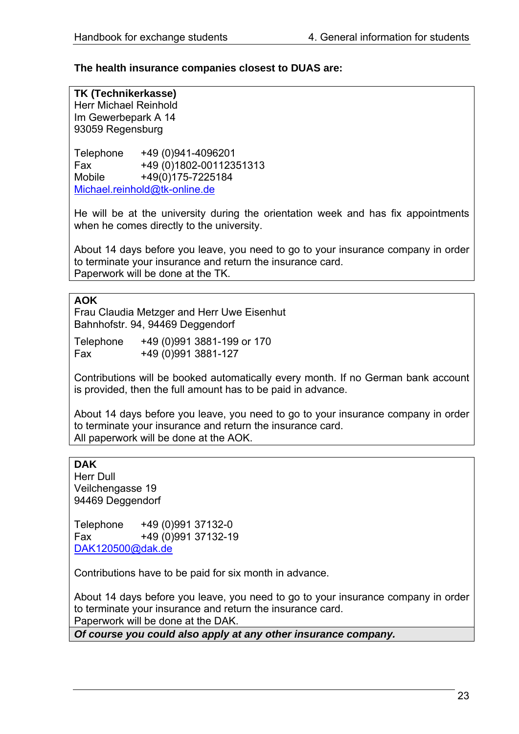## **The health insurance companies closest to DUAS are:**

**TK (Technikerkasse)** 

Herr Michael Reinhold Im Gewerbepark A 14 93059 Regensburg

Telephone +49 (0)941-4096201 Fax +49 (0)1802-00112351313 Mobile +49(0)175-7225184 Michael.reinhold@tk-online.de

He will be at the university during the orientation week and has fix appointments when he comes directly to the university.

About 14 days before you leave, you need to go to your insurance company in order to terminate your insurance and return the insurance card. Paperwork will be done at the TK.

#### **AOK**

Frau Claudia Metzger and Herr Uwe Eisenhut Bahnhofstr. 94, 94469 Deggendorf

| Telephone | +49 (0)991 3881-199 or 170 |  |
|-----------|----------------------------|--|
| Fax       | +49 (0) 991 3881-127       |  |

Contributions will be booked automatically every month. If no German bank account is provided, then the full amount has to be paid in advance.

About 14 days before you leave, you need to go to your insurance company in order to terminate your insurance and return the insurance card. All paperwork will be done at the AOK.

## **DAK**

Herr Dull Veilchengasse 19 94469 Deggendorf

Telephone +49 (0)991 37132-0 Fax +49 (0)991 37132-19 [DAK120500@dak.de](mailto:DAK120500@dak.de)

Contributions have to be paid for six month in advance.

About 14 days before you leave, you need to go to your insurance company in order to terminate your insurance and return the insurance card. Paperwork will be done at the DAK.

*Of course you could also apply at any other insurance company.*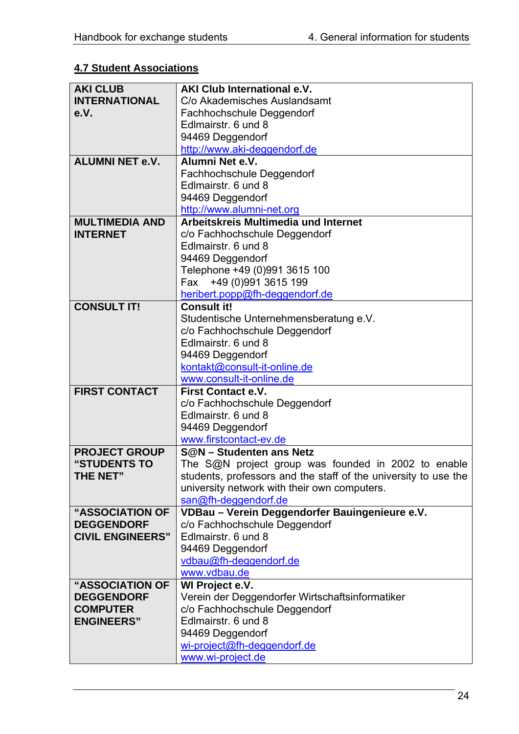# <span id="page-23-0"></span>**4.7 Student Associations**

| <b>AKI CLUB</b>         | AKI Club International e.V.                                     |
|-------------------------|-----------------------------------------------------------------|
| <b>INTERNATIONAL</b>    | C/o Akademisches Auslandsamt                                    |
| e.V.                    | Fachhochschule Deggendorf                                       |
|                         | Edlmairstr, 6 und 8                                             |
|                         | 94469 Deggendorf                                                |
|                         | http://www.aki-deggendorf.de                                    |
| <b>ALUMNI NET e.V.</b>  | Alumni Net e.V.                                                 |
|                         | Fachhochschule Deggendorf                                       |
|                         | Edlmairstr, 6 und 8                                             |
|                         | 94469 Deggendorf                                                |
|                         | http://www.alumni-net.org                                       |
| <b>MULTIMEDIA AND</b>   | Arbeitskreis Multimedia und Internet                            |
| <b>INTERNET</b>         | c/o Fachhochschule Deggendorf                                   |
|                         | Edlmairstr. 6 und 8                                             |
|                         | 94469 Deggendorf                                                |
|                         | Telephone +49 (0)991 3615 100                                   |
|                         | Fax +49 (0)991 3615 199                                         |
|                         | heribert.popp@fh-deggendorf.de                                  |
| <b>CONSULT IT!</b>      | <b>Consult it!</b>                                              |
|                         | Studentische Unternehmensberatung e.V.                          |
|                         | c/o Fachhochschule Deggendorf                                   |
|                         | Edlmairstr, 6 und 8                                             |
|                         | 94469 Deggendorf                                                |
|                         | kontakt@consult-it-online.de                                    |
|                         | www.consult-it-online.de                                        |
| <b>FIRST CONTACT</b>    | First Contact e.V.                                              |
|                         | c/o Fachhochschule Deggendorf                                   |
|                         | Edlmairstr. 6 und 8                                             |
|                         | 94469 Deggendorf                                                |
|                         | www.firstcontact-ev.de                                          |
| <b>PROJECT GROUP</b>    | <b>S@N</b> – Studenten ans Netz                                 |
| "STUDENTS TO            | The S@N project group was founded in 2002 to enable             |
| <b>THE NET"</b>         | students, professors and the staff of the university to use the |
|                         | university network with their own computers.                    |
|                         | san@fh-deggendorf.de                                            |
| "ASSOCIATION OF         | VDBau - Verein Deggendorfer Bauingenieure e.V.                  |
| <b>DEGGENDORF</b>       | c/o Fachhochschule Deggendorf                                   |
| <b>CIVIL ENGINEERS"</b> | Edlmairstr, 6 und 8                                             |
|                         | 94469 Deggendorf                                                |
|                         | vdbau@fh-deggendorf.de<br>www.vdbau.de                          |
| <b>"ASSOCIATION OF</b>  | WI Project e.V.                                                 |
| <b>DEGGENDORF</b>       | Verein der Deggendorfer Wirtschaftsinformatiker                 |
| <b>COMPUTER</b>         | c/o Fachhochschule Deggendorf                                   |
| <b>ENGINEERS"</b>       | Edlmairstr, 6 und 8                                             |
|                         | 94469 Deggendorf                                                |
|                         | wi-project@fh-deggendorf.de                                     |
|                         | www.wi-project.de                                               |
|                         |                                                                 |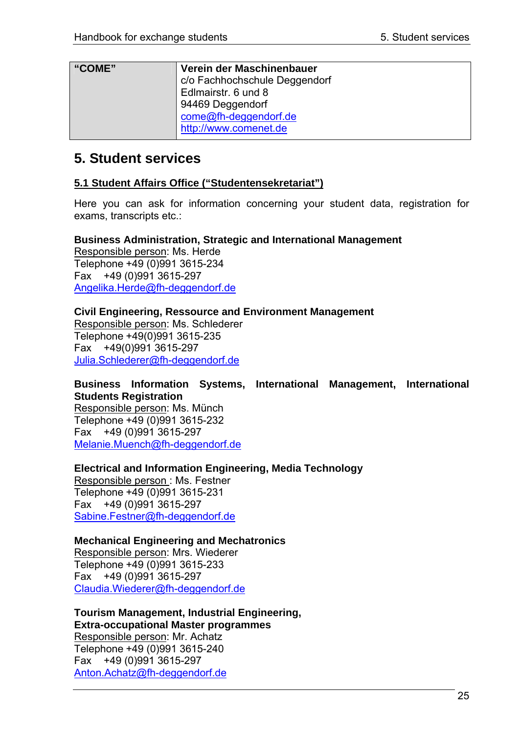<span id="page-24-0"></span>

| "COME" | Verein der Maschinenbauer     |
|--------|-------------------------------|
|        | c/o Fachhochschule Deggendorf |
|        | Edlmairstr. 6 und 8           |
|        | 94469 Deggendorf              |
|        | come@fh-deggendorf.de         |
|        | http://www.comenet.de         |

# **5. Student services**

## **5.1 Student Affairs Office ("Studentensekretariat")**

Here you can ask for information concerning your student data, registration for exams, transcripts etc.:

**Business Administration, Strategic and International Management**  Responsible person: Ms. Herde Telephone +49 (0)991 3615-234 Fax +49 (0)991 3615-297 [Angelika.Herde@fh-deggendorf.de](mailto:Angelika.Herde@fh-deggendorf.de)

## **Civil Engineering, Ressource and Environment Management**

Responsible person: Ms. Schlederer Telephone +49(0)991 3615-235 Fax +49(0)991 3615-297 [Julia.Schlederer@fh-deggendorf.de](mailto:Julia.Schlederer@fh)

**Business Information Systems, International Management, International Students Registration** 

Responsible person: Ms. Münch Telephone +49 (0)991 3615-232 Fax +49 (0)991 3615-297 [Melanie.Muench@fh-deggendorf.de](mailto:Melanie.Muench@fh-deggendorf.de)

**Electrical and Information Engineering, Media Technology** 

Responsible person : Ms. Festner Telephone +49 (0)991 3615-231 Fax +49 (0)991 3615-297 [Sabine.Festner@fh-deggendorf.de](mailto:Sabine.Festner@fh-deggendorf.de)

## **Mechanical Engineering and Mechatronics**

Responsible person: Mrs. Wiederer Telephone +49 (0)991 3615-233 Fax +49 (0)991 3615-297 [Claudia.Wiederer@fh-deggendorf.de](mailto:Claudia.Wiederer@fh)

**Tourism Management, Industrial Engineering, Extra-occupational Master programmes**  Responsible person: Mr. Achatz Telephone +49 (0)991 3615-240 Fax +49 (0)991 3615-297 [Anton.Achatz@fh-deggendorf.de](mailto:Anton.Achatz@fh-deggendorf.de)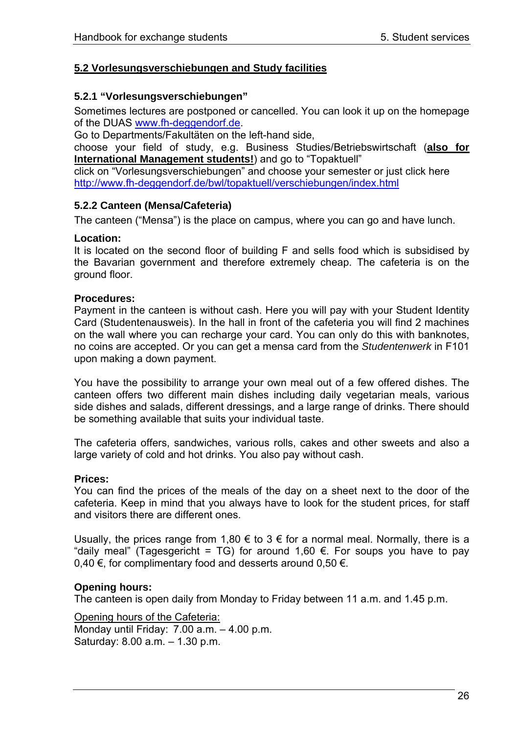## <span id="page-25-0"></span>**5.2 Vorlesungsverschiebungen and Study facilities**

## **5.2.1 "Vorlesungsverschiebungen"**

Sometimes lectures are postponed or cancelled. You can look it up on the homepage of the DUAS [www.fh-deggendorf.de.](http://www.fh-deggendorf.de/)

Go to Departments/Fakultäten on the left-hand side,

choose your field of study, e.g. Business Studies/Betriebswirtschaft (**also for International Management students!**) and go to "Topaktuell"

click on "Vorlesungsverschiebungen" and choose your semester or just click here <http://www.fh-deggendorf.de/bwl/topaktuell/verschiebungen/index.html>

### **5.2.2 Canteen (Mensa/Cafeteria)**

The canteen ("Mensa") is the place on campus, where you can go and have lunch.

#### **Location:**

It is located on the second floor of building F and sells food which is subsidised by the Bavarian government and therefore extremely cheap. The cafeteria is on the ground floor.

#### **Procedures:**

Payment in the canteen is without cash. Here you will pay with your Student Identity Card (Studentenausweis). In the hall in front of the cafeteria you will find 2 machines on the wall where you can recharge your card. You can only do this with banknotes, no coins are accepted. Or you can get a mensa card from the *Studentenwerk* in F101 upon making a down payment.

You have the possibility to arrange your own meal out of a few offered dishes. The canteen offers two different main dishes including daily vegetarian meals, various side dishes and salads, different dressings, and a large range of drinks. There should be something available that suits your individual taste.

The cafeteria offers, sandwiches, various rolls, cakes and other sweets and also a large variety of cold and hot drinks. You also pay without cash.

#### **Prices:**

You can find the prices of the meals of the day on a sheet next to the door of the cafeteria. Keep in mind that you always have to look for the student prices, for staff and visitors there are different ones.

Usually, the prices range from 1,80 € to 3 € for a normal meal. Normally, there is a "daily meal" (Tagesgericht = TG) for around 1,60 €. For soups you have to pay 0,40 €, for complimentary food and desserts around 0,50 €.

#### **Opening hours:**

The canteen is open daily from Monday to Friday between 11 a.m. and 1.45 p.m.

Opening hours of the Cafeteria: Monday until Friday: 7.00 a.m. – 4.00 p.m. Saturday: 8.00 a.m. – 1.30 p.m.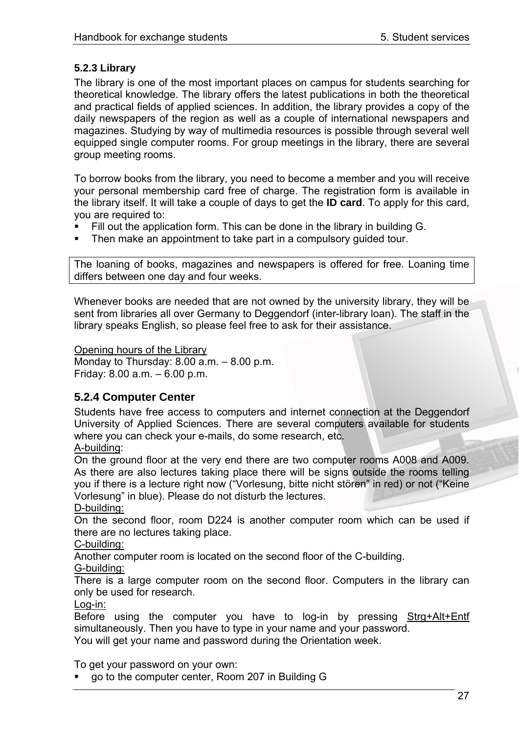## <span id="page-26-0"></span>**5.2.3 Library**

The library is one of the most important places on campus for students searching for theoretical knowledge. The library offers the latest publications in both the theoretical and practical fields of applied sciences. In addition, the library provides a copy of the daily newspapers of the region as well as a couple of international newspapers and magazines. Studying by way of multimedia resources is possible through several well equipped single computer rooms. For group meetings in the library, there are several group meeting rooms.

To borrow books from the library, you need to become a member and you will receive your personal membership card free of charge. The registration form is available in the library itself. It will take a couple of days to get the **ID card**. To apply for this card, you are required to:

- Fill out the application form. This can be done in the library in building G.
- **Then make an appointment to take part in a compulsory quided tour.**

The loaning of books, magazines and newspapers is offered for free. Loaning time differs between one day and four weeks.

Whenever books are needed that are not owned by the university library, they will be sent from libraries all over Germany to Deggendorf (inter-library loan). The staff in the library speaks English, so please feel free to ask for their assistance.

#### Opening hours of the Library

Monday to Thursday: 8.00 a.m. – 8.00 p.m. Friday: 8.00 a.m. – 6.00 p.m.

# **5.2.4 Computer Center**

Students have free access to computers and internet connection at the Deggendorf University of Applied Sciences. There are several computers available for students where you can check your e-mails, do some research, etc.

## A-building:

On the ground floor at the very end there are two computer rooms A008 and A009. As there are also lectures taking place there will be signs outside the rooms telling you if there is a lecture right now ("Vorlesung, bitte nicht stören" in red) or not ("Keine Vorlesung" in blue). Please do not disturb the lectures.

D-building:

On the second floor, room D224 is another computer room which can be used if there are no lectures taking place.

C-building:

Another computer room is located on the second floor of the C-building.

G-building:

There is a large computer room on the second floor. Computers in the library can only be used for research.

#### Log-in:

Before using the computer you have to log-in by pressing Strg+Alt+Entf simultaneously. Then you have to type in your name and your password. You will get your name and password during the Orientation week.

To get your password on your own:

go to the computer center, Room 207 in Building G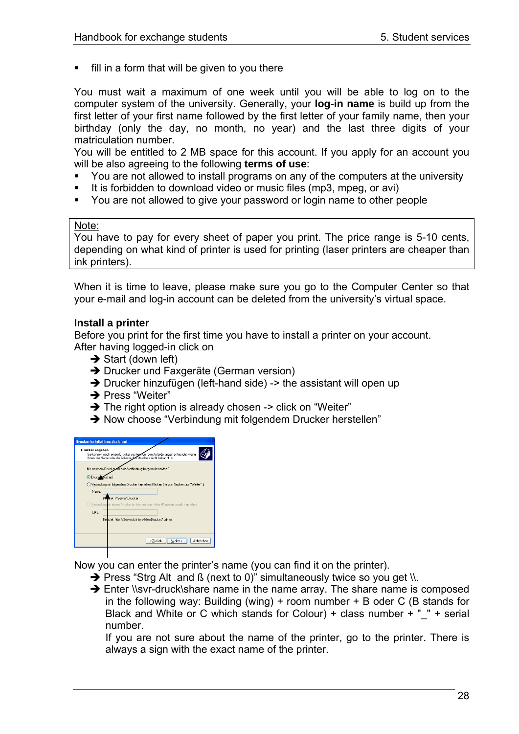fill in a form that will be given to you there

You must wait a maximum of one week until you will be able to log on to the computer system of the university. Generally, your **log-in name** is build up from the first letter of your first name followed by the first letter of your family name, then your birthday (only the day, no month, no year) and the last three digits of your matriculation number.

You will be entitled to 2 MB space for this account. If you apply for an account you will be also agreeing to the following **terms of use**:

- You are not allowed to install programs on any of the computers at the university
- It is forbidden to download video or music files (mp3, mpeg, or avi)
- You are not allowed to give your password or login name to other people

### Note:

You have to pay for every sheet of paper you print. The price range is 5-10 cents, depending on what kind of printer is used for printing (laser printers are cheaper than ink printers).

When it is time to leave, please make sure you go to the Computer Center so that your e-mail and log-in account can be deleted from the university's virtual space.

### **Install a printer**

Before you print for the first time you have to install a printer on your account. After having logged-in click on

- $\rightarrow$  Start (down left)
- → Drucker und Faxgeräte (German version)
- $\rightarrow$  Drucker hinzufügen (left-hand side) -> the assistant will open up
- $\rightarrow$  Press "Weiter"
- $\rightarrow$  The right option is already chosen -> click on "Weiter"
- $\rightarrow$  Now choose "Verbindung mit folgendem Drucker herstellen"

| <b>Druckerinstallations-Assistent</b>                                                                                                                              |  |  |
|--------------------------------------------------------------------------------------------------------------------------------------------------------------------|--|--|
| Drucker angeben<br>Sie können nach einem Drucker suchen, der den Anforderungen entspricht, wenn<br>Ihnen der Name oder die Adresse des Druckers nicht bekannt ist. |  |  |
| Mit welchem Drucker soll eine Verbindung hergestellt werden?<br>O Druck Suchen                                                                                     |  |  |
| ○ Verbindung mit folgendem Drucker herstellen (Klicken Sie zum Suchen auf "Weiter".):<br>Name:                                                                     |  |  |
| <b>Remiel: WServer/Drucker</b><br>O Verbindung mit einem Drucker im Internet oder Heim-/Firmennetzwerk herstellen:                                                 |  |  |
| HRI                                                                                                                                                                |  |  |
| Beilgiel: http://Server/printers/MeinDrucker/.printer                                                                                                              |  |  |
| Welet<br>Abbrechen<br>< Zurück                                                                                                                                     |  |  |
|                                                                                                                                                                    |  |  |

Now you can enter the printer's name (you can find it on the printer).

- $\rightarrow$  Press "Strg Alt and ß (next to 0)" simultaneously twice so you get \\.
- $\rightarrow$  Enter \\svr-druck\share name in the name array. The share name is composed in the following way: Building (wing) + room number + B oder C (B stands for Black and White or C which stands for Colour) + class number  $+$  "  $+$  serial number.

If you are not sure about the name of the printer, go to the printer. There is always a sign with the exact name of the printer.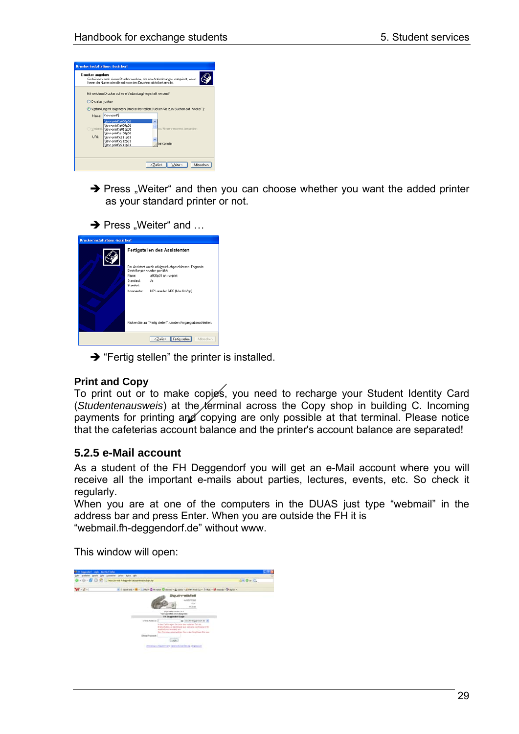<span id="page-28-0"></span>

|                  | Ihnen der Name oder die Adresse des Druckers nicht bekannt ist. | Sie können nach einem Drucker suchen, der den Anforderungen entspricht, wenn            |  |
|------------------|-----------------------------------------------------------------|-----------------------------------------------------------------------------------------|--|
|                  | Mit welchem Drucker soll eine Verbindung hergestellt werden?    |                                                                                         |  |
| O Drucker suchen |                                                                 |                                                                                         |  |
|                  |                                                                 | (.) Verbindung mit folgendem Drucker herstellen (Klicken Sie zum Suchen auf "Weiter".): |  |
|                  | Name: Visy-printy                                               |                                                                                         |  |
|                  | lisy-printia000p01<br>1\syr-print\a009p01                       | ۸                                                                                       |  |
|                  | Verbinda tisyr-print\s010p01                                    | m-/Fimennelzwerk herstellen                                                             |  |
| URL:             | lisyr-printia103p01<br>lisyr-printic211p01                      |                                                                                         |  |
|                  | lisyr-printic212p01                                             | ker/.printer                                                                            |  |
|                  | lisyr-printic214p01                                             |                                                                                         |  |
|                  |                                                                 |                                                                                         |  |

- $\rightarrow$  Press "Weiter" and then you can choose whether you want the added printer as your standard printer or not.
- $\rightarrow$  Press "Weiter" and …

| <b>Druckerinstallations-Assistent</b> |                                                                                          |                                                                 |
|---------------------------------------|------------------------------------------------------------------------------------------|-----------------------------------------------------------------|
|                                       |                                                                                          | Fertigstellen des Assistenten                                   |
|                                       | Der Assistent wurde erfolgreich abgeschlossen. Folgende<br>Einstellungen wurden gewählt: |                                                                 |
|                                       | Name:                                                                                    | a000p01 an svr-print                                            |
|                                       | Standard:                                                                                | Ja                                                              |
|                                       | Standort:                                                                                |                                                                 |
|                                       | Kommentar:                                                                               | HP LasesJet 2430 (b/w 8ct/pp)                                   |
|                                       |                                                                                          | Klicken Sie auf "Fertig stellen", um den Vorgang abzuschließen. |
|                                       |                                                                                          | Fertig stellen<br>< Zurück<br>Abbrechen                         |

 $\rightarrow$  "Fertig stellen" the printer is installed.

## **Print and Copy**

To print out or to make copies, you need to recharge your Student Identity Card (*Studentenausweis*) at the *t*erminal across the Copy shop in building C. Incoming payments for printing and copying are only possible at that terminal. Please notice that the cafeterias account balance and the printer's account balance are separated!

# **5.2.5 e-Mail account**

As a student of the FH Deggendorf you will get an e-Mail account where you will receive all the important e-mails about parties, lectures, events, etc. So check it regularly.

When you are at one of the computers in the DUAS just type "webmail" in the address bar and press Enter. When you are outside the FH it is "webmail.fh-deggendorf.de" without www.

This window will open:

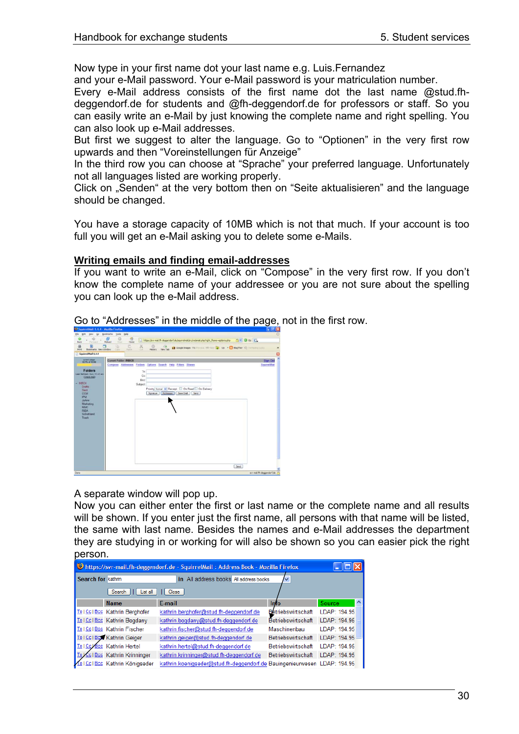Now type in your first name dot your last name e.g. Luis.Fernandez

and your e-Mail password. Your e-Mail password is your matriculation number.

Every e-Mail address consists of the first name dot the last name @stud.fhdeggendorf.de for students and @fh-deggendorf.de for professors or staff. So you can easily write an e-Mail by just knowing the complete name and right spelling. You can also look up e-Mail addresses.

But first we suggest to alter the language. Go to "Optionen" in the very first row upwards and then "Voreinstellungen für Anzeige"

In the third row you can choose at "Sprache" your preferred language. Unfortunately not all languages listed are working properly.

Click on "Senden" at the very bottom then on "Seite aktualisieren" and the language should be changed.

You have a storage capacity of 10MB which is not that much. If your account is too full you will get an e-Mail asking you to delete some e-Mails.

#### **Writing emails and finding email-addresses**

If you want to write an e-Mail, click on "Compose" in the very first row. If you don't know the complete name of your addressee or you are not sure about the spelling you can look up the e-Mail address.

Go to "Addresses" in the middle of the page, not in the first row.



A separate window will pop up.

Now you can either enter the first or last name or the complete name and all results will be shown. If you enter just the first name, all persons with that name will be listed, the same with last name. Besides the names and e-Mail addresses the department they are studying in or working for will also be shown so you can easier pick the right person.

| bttps://svr-mail.fh-deggendorf.de - SquirrelMail: Address Book - Mozilla Firefox |                                 |                                                                          |                    |               |
|----------------------------------------------------------------------------------|---------------------------------|--------------------------------------------------------------------------|--------------------|---------------|
| Search for kathrin                                                               |                                 | All address books All address books<br>in                                | ◡                  |               |
|                                                                                  | Search<br>List all              | Close                                                                    |                    |               |
|                                                                                  | <b>Name</b>                     | E-mail                                                                   | Info               | <b>Source</b> |
|                                                                                  | To   Cc   Bcc Kathrin Berghofer | kathrin.berghofer@stud.fh-deggendorf.de                                  | Betriebswirtschaft | LDAP: 194.95  |
|                                                                                  | Tol Ccl Bcc Kathrin Bogdany     | kathrin.bogdany@stud.fh-deggendorf.de                                    | Betriebswirtschaft | LDAP: 194.95  |
|                                                                                  | To   Cc   Bcc Kathrin Fischer   | kathrin.fischer@stud.fh-deggendorf.de                                    | Maschinenbau       | I DAP: 194 95 |
|                                                                                  | To I Col Box Kathrin Geiger     | kathrin.geiger@stud.fh-deggendorf.de                                     | Betriebswirtschaft | LDAP: 194.95  |
|                                                                                  | To   Coldco Kathrin Hertel      | kathrin.hertel@stud.fh-deggendorf.de                                     | Betriebswirtschaft | LDAP: 194.95  |
|                                                                                  | Cc   Bcc Kathrin Krinninger     | kathrin.krinninger@stud.fh-deggendorf.de                                 | Betriebswirtschaft | LDAP: 194.95  |
|                                                                                  | Cc1Bcc Kathrin Königseder       | kathrin.koenigseder@stud.fh-deggendorf.de Bauingenieurwesen LDAP: 194.95 |                    |               |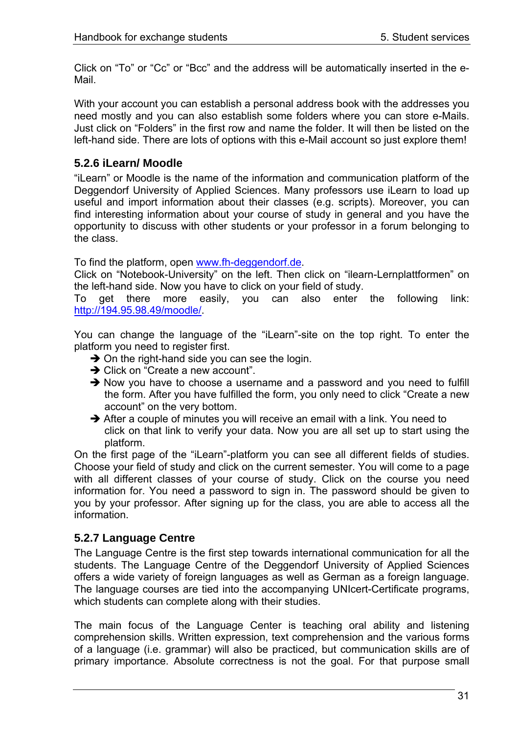<span id="page-30-0"></span>Click on "To" or "Cc" or "Bcc" and the address will be automatically inserted in the e-Mail.

With your account you can establish a personal address book with the addresses you need mostly and you can also establish some folders where you can store e-Mails. Just click on "Folders" in the first row and name the folder. It will then be listed on the left-hand side. There are lots of options with this e-Mail account so just explore them!

# **5.2.6 iLearn/ Moodle**

"iLearn" or Moodle is the name of the information and communication platform of the Deggendorf University of Applied Sciences. Many professors use iLearn to load up useful and import information about their classes (e.g. scripts). Moreover, you can find interesting information about your course of study in general and you have the opportunity to discuss with other students or your professor in a forum belonging to the class.

To find the platform, open [www.fh-deggendorf.de.](http://www.fh-deggendorf.de/)

Click on "Notebook-University" on the left. Then click on "ilearn-Lernplattformen" on the left-hand side. Now you have to click on your field of study.

To get there more easily, you can also enter the following link: <http://194.95.98.49/moodle/>.

You can change the language of the "iLearn"-site on the top right. To enter the platform you need to register first.

- $\rightarrow$  On the right-hand side you can see the login.
- $\rightarrow$  Click on "Create a new account".
- $\rightarrow$  Now you have to choose a username and a password and you need to fulfill the form. After you have fulfilled the form, you only need to click "Create a new account" on the very bottom.
- $\rightarrow$  After a couple of minutes you will receive an email with a link. You need to click on that link to verify your data. Now you are all set up to start using the platform.

On the first page of the "iLearn"-platform you can see all different fields of studies. Choose your field of study and click on the current semester. You will come to a page with all different classes of your course of study. Click on the course you need information for. You need a password to sign in. The password should be given to you by your professor. After signing up for the class, you are able to access all the information.

# **5.2.7 Language Centre**

The Language Centre is the first step towards international communication for all the students. The Language Centre of the Deggendorf University of Applied Sciences offers a wide variety of foreign languages as well as German as a foreign language. The language courses are tied into the accompanying UNIcert-Certificate programs, which students can complete along with their studies.

The main focus of the Language Center is teaching oral ability and listening comprehension skills. Written expression, text comprehension and the various forms of a language (i.e. grammar) will also be practiced, but communication skills are of primary importance. Absolute correctness is not the goal. For that purpose small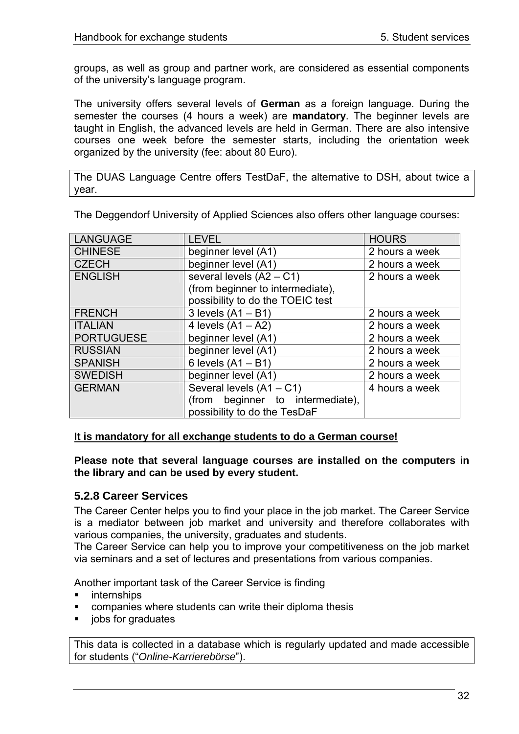<span id="page-31-0"></span>groups, as well as group and partner work, are considered as essential components of the university's language program.

The university offers several levels of **German** as a foreign language. During the semester the courses (4 hours a week) are **mandatory**. The beginner levels are taught in English, the advanced levels are held in German. There are also intensive courses one week before the semester starts, including the orientation week organized by the university (fee: about 80 Euro).

The DUAS Language Centre offers TestDaF, the alternative to DSH, about twice a year.

| <b>LANGUAGE</b>   | <b>LEVEL</b>                     | <b>HOURS</b>   |
|-------------------|----------------------------------|----------------|
| <b>CHINESE</b>    | beginner level (A1)              | 2 hours a week |
| <b>CZECH</b>      | beginner level (A1)              | 2 hours a week |
| <b>ENGLISH</b>    | several levels $(A2 - C1)$       | 2 hours a week |
|                   | (from beginner to intermediate), |                |
|                   | possibility to do the TOEIC test |                |
| <b>FRENCH</b>     | 3 levels $(A1 - B1)$             | 2 hours a week |
| <b>ITALIAN</b>    | 4 levels $(A1 - A2)$             | 2 hours a week |
| <b>PORTUGUESE</b> | beginner level (A1)              | 2 hours a week |
| <b>RUSSIAN</b>    | beginner level (A1)              | 2 hours a week |
| <b>SPANISH</b>    | 6 levels $(A1 - B1)$             | 2 hours a week |
| <b>SWEDISH</b>    | beginner level (A1)              | 2 hours a week |
| <b>GERMAN</b>     | Several levels (A1 - C1)         | 4 hours a week |
|                   | (from beginner to intermediate), |                |
|                   | possibility to do the TesDaF     |                |

The Deggendorf University of Applied Sciences also offers other language courses:

#### **It is mandatory for all exchange students to do a German course!**

**Please note that several language courses are installed on the computers in the library and can be used by every student.** 

## **5.2.8 Career Services**

The Career Center helps you to find your place in the job market. The Career Service is a mediator between job market and university and therefore collaborates with various companies, the university, graduates and students.

The Career Service can help you to improve your competitiveness on the job market via seminars and a set of lectures and presentations from various companies.

Another important task of the Career Service is finding

- internships
- companies where students can write their diploma thesis
- jobs for graduates

This data is collected in a database which is regularly updated and made accessible for students ("*Online-Karrierebörse*").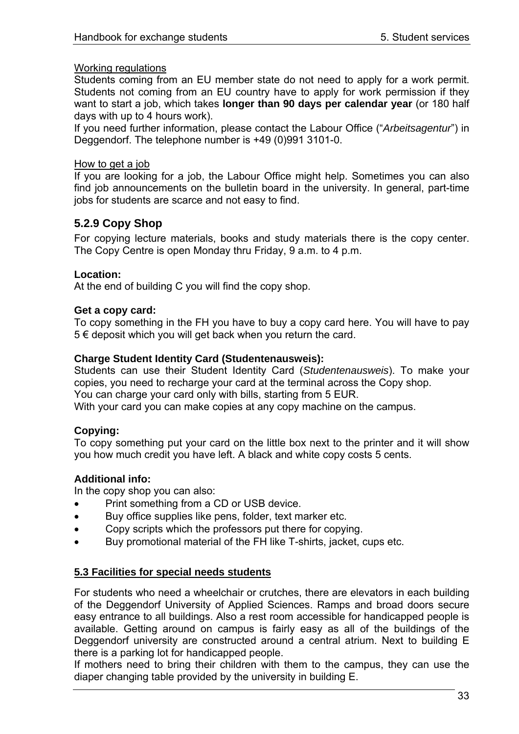#### <span id="page-32-0"></span>Working regulations

Students coming from an EU member state do not need to apply for a work permit. Students not coming from an EU country have to apply for work permission if they want to start a job, which takes **longer than 90 days per calendar year** (or 180 half days with up to 4 hours work).

If you need further information, please contact the Labour Office ("*Arbeitsagentur*") in Deggendorf. The telephone number is +49 (0)991 3101-0.

### How to get a job

If you are looking for a job, the Labour Office might help. Sometimes you can also find job announcements on the bulletin board in the university. In general, part-time jobs for students are scarce and not easy to find.

# **5.2.9 Copy Shop**

For copying lecture materials, books and study materials there is the copy center. The Copy Centre is open Monday thru Friday, 9 a.m. to 4 p.m.

## **Location:**

At the end of building C you will find the copy shop.

#### **Get a copy card:**

To copy something in the FH you have to buy a copy card here. You will have to pay 5 € deposit which you will get back when you return the card.

### **Charge Student Identity Card (Studentenausweis):**

Students can use their Student Identity Card (*Studentenausweis*). To make your copies, you need to recharge your card at the terminal across the Copy shop. You can charge your card only with bills, starting from 5 EUR.

With your card you can make copies at any copy machine on the campus.

## **Copying:**

To copy something put your card on the little box next to the printer and it will show you how much credit you have left. A black and white copy costs 5 cents.

## **Additional info:**

In the copy shop you can also:

- Print something from a CD or USB device.
- Buy office supplies like pens, folder, text marker etc.
- Copy scripts which the professors put there for copying.
- Buy promotional material of the FH like T-shirts, jacket, cups etc.

## **5.3 Facilities for special needs students**

For students who need a wheelchair or crutches, there are elevators in each building of the Deggendorf University of Applied Sciences. Ramps and broad doors secure easy entrance to all buildings. Also a rest room accessible for handicapped people is available. Getting around on campus is fairly easy as all of the buildings of the Deggendorf university are constructed around a central atrium. Next to building E there is a parking lot for handicapped people.

If mothers need to bring their children with them to the campus, they can use the diaper changing table provided by the university in building E.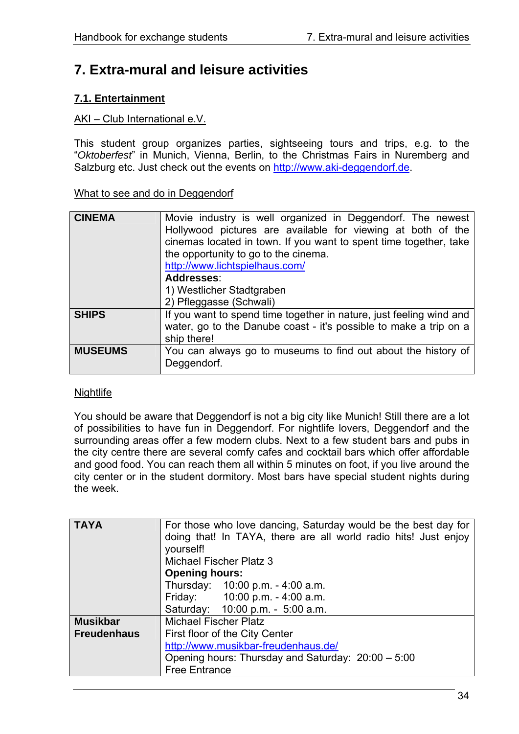# <span id="page-33-0"></span>**7. Extra-mural and leisure activities**

# **7.1. Entertainment**

## AKI – Club International e.V.

This student group organizes parties, sightseeing tours and trips, e.g. to the "*Oktoberfest*" in Munich, Vienna, Berlin, to the Christmas Fairs in Nuremberg and Salzburg etc. Just check out the events on [http://www.aki-deggendorf.de](http://www.aki-deggendorf.de/).

### What to see and do in Deggendorf

| <b>CINEMA</b>  | Movie industry is well organized in Deggendorf. The newest<br>Hollywood pictures are available for viewing at both of the<br>cinemas located in town. If you want to spent time together, take<br>the opportunity to go to the cinema.<br>http://www.lichtspielhaus.com/<br>Addresses:<br>1) Westlicher Stadtgraben<br>2) Pfleggasse (Schwali) |
|----------------|------------------------------------------------------------------------------------------------------------------------------------------------------------------------------------------------------------------------------------------------------------------------------------------------------------------------------------------------|
| <b>SHIPS</b>   | If you want to spend time together in nature, just feeling wind and<br>water, go to the Danube coast - it's possible to make a trip on a<br>ship there!                                                                                                                                                                                        |
| <b>MUSEUMS</b> | You can always go to museums to find out about the history of<br>Deggendorf.                                                                                                                                                                                                                                                                   |

#### **Nightlife**

You should be aware that Deggendorf is not a big city like Munich! Still there are a lot of possibilities to have fun in Deggendorf. For nightlife lovers, Deggendorf and the surrounding areas offer a few modern clubs. Next to a few student bars and pubs in the city centre there are several comfy cafes and cocktail bars which offer affordable and good food. You can reach them all within 5 minutes on foot, if you live around the city center or in the student dormitory. Most bars have special student nights during the week.

| <b>TAYA</b>        | For those who love dancing, Saturday would be the best day for<br>doing that! In TAYA, there are all world radio hits! Just enjoy |  |  |
|--------------------|-----------------------------------------------------------------------------------------------------------------------------------|--|--|
|                    | yourself!                                                                                                                         |  |  |
|                    | <b>Michael Fischer Platz 3</b>                                                                                                    |  |  |
|                    |                                                                                                                                   |  |  |
|                    | <b>Opening hours:</b>                                                                                                             |  |  |
|                    | Thursday: 10:00 p.m. - 4:00 a.m.                                                                                                  |  |  |
|                    | Friday: 10:00 p.m. - 4:00 a.m.                                                                                                    |  |  |
|                    | Saturday: 10:00 p.m. - 5:00 a.m.                                                                                                  |  |  |
| <b>Musikbar</b>    | <b>Michael Fischer Platz</b>                                                                                                      |  |  |
| <b>Freudenhaus</b> | First floor of the City Center                                                                                                    |  |  |
|                    | http://www.musikbar-freudenhaus.de/                                                                                               |  |  |
|                    | Opening hours: Thursday and Saturday: 20:00 - 5:00                                                                                |  |  |
|                    | <b>Free Entrance</b>                                                                                                              |  |  |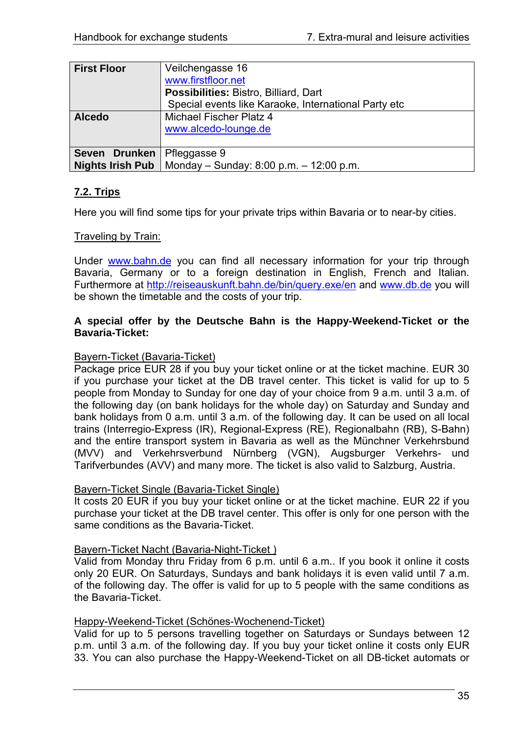<span id="page-34-0"></span>

| <b>First Floor</b> | Veilchengasse 16                                                    |
|--------------------|---------------------------------------------------------------------|
|                    | www.firstfloor.net                                                  |
|                    | Possibilities: Bistro, Billiard, Dart                               |
|                    | Special events like Karaoke, International Party etc                |
| <b>Alcedo</b>      | Michael Fischer Platz 4                                             |
|                    | www.alcedo-lounge.de                                                |
|                    |                                                                     |
| Seven Drunken      | Pfleggasse 9                                                        |
|                    | <b>Nights Irish Pub</b>   Monday - Sunday: 8:00 p.m. $- 12:00$ p.m. |

# **7.2. Trips**

Here you will find some tips for your private trips within Bavaria or to near-by cities.

### **Traveling by Train:**

Under [www.bahn.de](http://www.bahn.de/) you can find all necessary information for your trip through Bavaria, Germany or to a foreign destination in English, French and Italian. Furthermore at<http://reiseauskunft.bahn.de/bin/query.exe/en>and www.db.de you will be shown the timetable and the costs of your trip.

### **A special offer by the Deutsche Bahn is the Happy-Weekend-Ticket or the Bavaria-Ticket:**

#### Bayern-Ticket (Bavaria-Ticket)

Package price EUR 28 if you buy your ticket online or at the ticket machine. EUR 30 if you purchase your ticket at the DB travel center. This ticket is valid for up to 5 people from Monday to Sunday for one day of your choice from 9 a.m. until 3 a.m. of the following day (on bank holidays for the whole day) on Saturday and Sunday and bank holidays from 0 a.m. until 3 a.m. of the following day. It can be used on all local trains (Interregio-Express (IR), Regional-Express (RE), Regionalbahn (RB), S-Bahn) and the entire transport system in Bavaria as well as the Münchner Verkehrsbund (MVV) and Verkehrsverbund Nürnberg (VGN), Augsburger Verkehrs- und Tarifverbundes (AVV) and many more. The ticket is also valid to Salzburg, Austria.

#### Bayern-Ticket Single (Bavaria-Ticket Single)

It costs 20 EUR if you buy your ticket online or at the ticket machine. EUR 22 if you purchase your ticket at the DB travel center. This offer is only for one person with the same conditions as the Bavaria-Ticket.

#### Bayern-Ticket Nacht (Bavaria-Night-Ticket )

Valid from Monday thru Friday from 6 p.m. until 6 a.m.. If you book it online it costs only 20 EUR. On Saturdays, Sundays and bank holidays it is even valid until 7 a.m. of the following day. The offer is valid for up to 5 people with the same conditions as the Bavaria-Ticket.

#### Happy-Weekend-Ticket (Schönes-Wochenend-Ticket)

Valid for up to 5 persons travelling together on Saturdays or Sundays between 12 p.m. until 3 a.m. of the following day. If you buy your ticket online it costs only EUR 33. You can also purchase the Happy-Weekend-Ticket on all DB-ticket automats or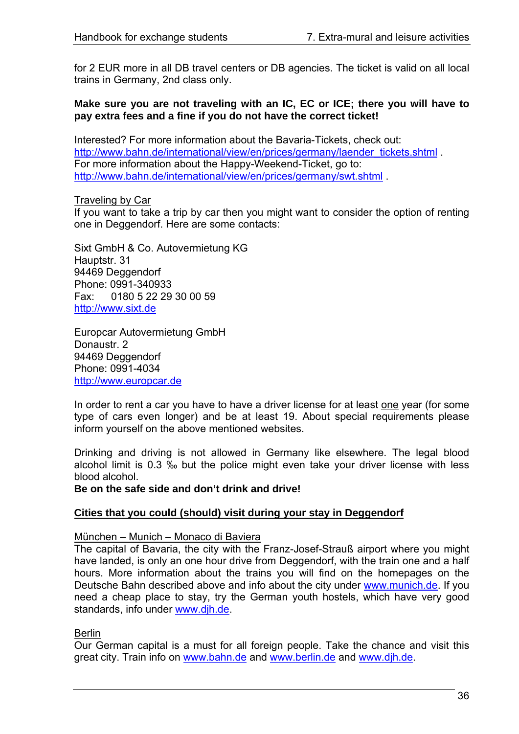for 2 EUR more in all DB travel centers or DB agencies. The ticket is valid on all local trains in Germany, 2nd class only.

#### **Make sure you are not traveling with an IC, EC or ICE; there you will have to pay extra fees and a fine if you do not have the correct ticket!**

Interested? For more information about the Bavaria-Tickets, check out: [http://www.bahn.de/international/view/en/prices/germany/laender\\_tickets.shtml](http://www.bahn.de/international/view/en/prices/germany/laender_tickets.shtml) . For more information about the Happy-Weekend-Ticket, go to: <http://www.bahn.de/international/view/en/prices/germany/swt.shtml> .

Traveling by Car

If you want to take a trip by car then you might want to consider the option of renting one in Deggendorf. Here are some contacts:

Sixt GmbH & Co. Autovermietung KG Hauptstr. 31 94469 Deggendorf Phone: 0991-340933 Fax: 0180 5 22 29 30 00 59 [http://www.sixt.de](http://www.sixt.de/)

Europcar Autovermietung GmbH Donaustr. 2 94469 Deggendorf Phone: 0991-4034 [http://www.europcar.de](http://www.europcar.de/)

In order to rent a car you have to have a driver license for at least one year (for some type of cars even longer) and be at least 19. About special requirements please inform yourself on the above mentioned websites.

Drinking and driving is not allowed in Germany like elsewhere. The legal blood alcohol limit is 0.3 ‰ but the police might even take your driver license with less blood alcohol.

#### **Be on the safe side and don't drink and drive!**

#### **Cities that you could (should) visit during your stay in Deggendorf**

#### München – Munich – Monaco di Baviera

The capital of Bavaria, the city with the Franz-Josef-Strauß airport where you might have landed, is only an one hour drive from Deggendorf, with the train one and a half hours. More information about the trains you will find on the homepages on the Deutsche Bahn described above and info about the city under [www.munich.de](http://www.munich.de/). If you need a cheap place to stay, try the German youth hostels, which have very good standards, info under [www.djh.de](http://www.djh.de/).

#### **Berlin**

Our German capital is a must for all foreign people. Take the chance and visit this great city. Train info on [www.bahn.de](http://www.bahn.de/) and [www.berlin.de](http://www.berlin.de/) and www.dih.de.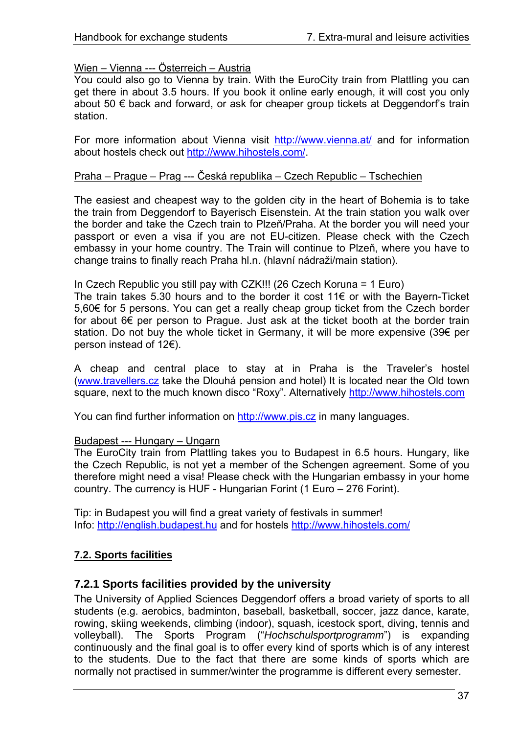## <span id="page-36-0"></span>Wien – Vienna --- Österreich – Austria

You could also go to Vienna by train. With the EuroCity train from Plattling you can get there in about 3.5 hours. If you book it online early enough, it will cost you only about 50 € back and forward, or ask for cheaper group tickets at Deggendorf's train station.

For more information about Vienna visit <http://www.vienna.at/>and for information about hostels check out<http://www.hihostels.com/>.

### Praha – Prague – Prag --- Česká republika – Czech Republic – Tschechien

The easiest and cheapest way to the golden city in the heart of Bohemia is to take the train from Deggendorf to Bayerisch Eisenstein. At the train station you walk over the border and take the Czech train to Plzeň/Praha. At the border you will need your passport or even a visa if you are not EU-citizen. Please check with the Czech embassy in your home country. The Train will continue to Plzeň, where you have to change trains to finally reach Praha hl.n. (hlavní nádraži/main station).

#### In Czech Republic you still pay with CZK!!! (26 Czech Koruna = 1 Euro)

The train takes 5.30 hours and to the border it cost 11€ or with the Bayern-Ticket 5,60€ for 5 persons. You can get a really cheap group ticket from the Czech border for about 6€ per person to Prague. Just ask at the ticket booth at the border train station. Do not buy the whole ticket in Germany, it will be more expensive (39€ per person instead of 12€).

A cheap and central place to stay at in Praha is the Traveler's hostel [\(www.travellers.cz](http://www.travellers.cz/) take the Dlouhá pension and hotel) It is located near the Old town square, next to the much known disco "Roxy". Alternatively [http://www.hihostels.com](http://www.hihostels.com/)

You can find further information on [http://www.pis.cz](http://www.pis.cz/) in many languages.

#### Budapest --- Hungary – Ungarn

The EuroCity train from Plattling takes you to Budapest in 6.5 hours. Hungary, like the Czech Republic, is not yet a member of the Schengen agreement. Some of you therefore might need a visa! Please check with the Hungarian embassy in your home country. The currency is HUF - Hungarian Forint (1 Euro – 276 Forint).

Tip: in Budapest you will find a great variety of festivals in summer! Info: [http://english.budapest.hu](http://english.budapest.hu/) and for hostels <http://www.hihostels.com/>

# **7.2. Sports facilities**

## **7.2.1 Sports facilities provided by the university**

The University of Applied Sciences Deggendorf offers a broad variety of sports to all students (e.g. aerobics, badminton, baseball, basketball, soccer, jazz dance, karate, rowing, skiing weekends, climbing (indoor), squash, icestock sport, diving, tennis and volleyball). The Sports Program ("*Hochschulsportprogramm*") is expanding continuously and the final goal is to offer every kind of sports which is of any interest to the students. Due to the fact that there are some kinds of sports which are normally not practised in summer/winter the programme is different every semester.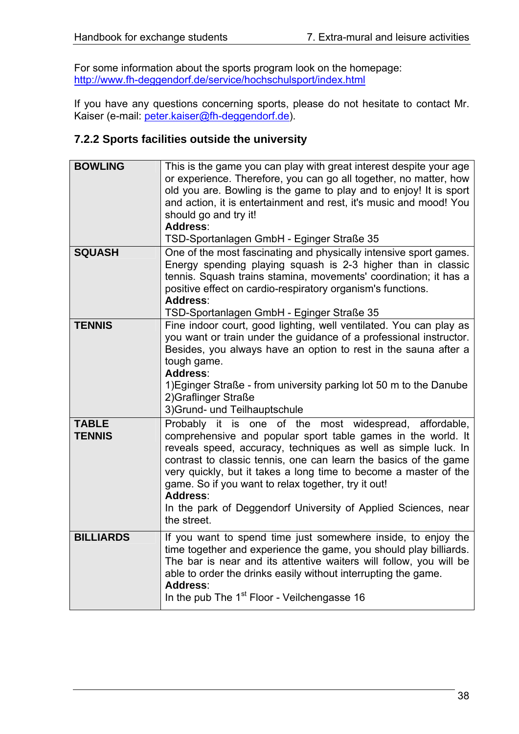<span id="page-37-0"></span>For some information about the sports program look on the homepage: <http://www.fh-deggendorf.de/service/hochschulsport/index.html>

If you have any questions concerning sports, please do not hesitate to contact Mr. Kaiser (e-mail: *[peter.kaiser@fh-deggendorf.de](mailto:peter.kaiser@fh-deggendorf.de))*.

# **7.2.2 Sports facilities outside the university**

| <b>BOWLING</b>                | This is the game you can play with great interest despite your age<br>or experience. Therefore, you can go all together, no matter, how<br>old you are. Bowling is the game to play and to enjoy! It is sport<br>and action, it is entertainment and rest, it's music and mood! You<br>should go and try it!<br>Address:<br>TSD-Sportanlagen GmbH - Eginger Straße 35                                                                                                                |
|-------------------------------|--------------------------------------------------------------------------------------------------------------------------------------------------------------------------------------------------------------------------------------------------------------------------------------------------------------------------------------------------------------------------------------------------------------------------------------------------------------------------------------|
| <b>SQUASH</b>                 | One of the most fascinating and physically intensive sport games.<br>Energy spending playing squash is 2-3 higher than in classic<br>tennis. Squash trains stamina, movements' coordination; it has a<br>positive effect on cardio-respiratory organism's functions.<br>Address:<br>TSD-Sportanlagen GmbH - Eginger Straße 35                                                                                                                                                        |
| <b>TENNIS</b>                 | Fine indoor court, good lighting, well ventilated. You can play as<br>you want or train under the guidance of a professional instructor.<br>Besides, you always have an option to rest in the sauna after a<br>tough game.<br>Address:<br>1) Eginger Straße - from university parking lot 50 m to the Danube<br>2) Graflinger Straße<br>3) Grund- und Teilhauptschule                                                                                                                |
| <b>TABLE</b><br><b>TENNIS</b> | Probably it is one of the most widespread, affordable,<br>comprehensive and popular sport table games in the world. It<br>reveals speed, accuracy, techniques as well as simple luck. In<br>contrast to classic tennis, one can learn the basics of the game<br>very quickly, but it takes a long time to become a master of the<br>game. So if you want to relax together, try it out!<br>Address:<br>In the park of Deggendorf University of Applied Sciences, near<br>the street. |
| <b>BILLIARDS</b>              | If you want to spend time just somewhere inside, to enjoy the<br>time together and experience the game, you should play billiards.<br>The bar is near and its attentive waiters will follow, you will be<br>able to order the drinks easily without interrupting the game.<br>Address:<br>In the pub The 1 <sup>st</sup> Floor - Veilchengasse 16                                                                                                                                    |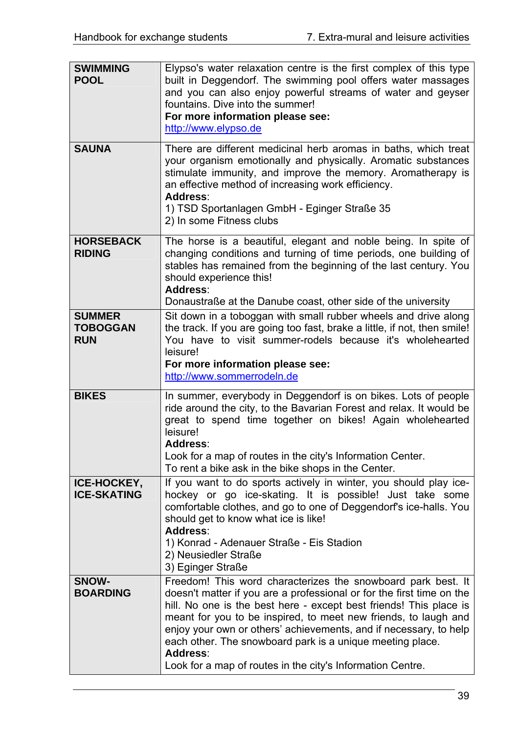| <b>SWIMMING</b><br><b>POOL</b>                 | Elypso's water relaxation centre is the first complex of this type<br>built in Deggendorf. The swimming pool offers water massages<br>and you can also enjoy powerful streams of water and geyser<br>fountains. Dive into the summer!<br>For more information please see:<br>http://www.elypso.de                                                                                                                                                                                          |
|------------------------------------------------|--------------------------------------------------------------------------------------------------------------------------------------------------------------------------------------------------------------------------------------------------------------------------------------------------------------------------------------------------------------------------------------------------------------------------------------------------------------------------------------------|
| <b>SAUNA</b>                                   | There are different medicinal herb aromas in baths, which treat<br>your organism emotionally and physically. Aromatic substances<br>stimulate immunity, and improve the memory. Aromatherapy is<br>an effective method of increasing work efficiency.<br>Address:<br>1) TSD Sportanlagen GmbH - Eginger Straße 35<br>2) In some Fitness clubs                                                                                                                                              |
| <b>HORSEBACK</b><br><b>RIDING</b>              | The horse is a beautiful, elegant and noble being. In spite of<br>changing conditions and turning of time periods, one building of<br>stables has remained from the beginning of the last century. You<br>should experience this!<br>Address:<br>Donaustraße at the Danube coast, other side of the university                                                                                                                                                                             |
| <b>SUMMER</b><br><b>TOBOGGAN</b><br><b>RUN</b> | Sit down in a toboggan with small rubber wheels and drive along<br>the track. If you are going too fast, brake a little, if not, then smile!<br>You have to visit summer-rodels because it's wholehearted<br>leisure!<br>For more information please see:<br>http://www.sommerrodeln.de                                                                                                                                                                                                    |
| <b>BIKES</b>                                   | In summer, everybody in Deggendorf is on bikes. Lots of people<br>ride around the city, to the Bavarian Forest and relax. It would be<br>great to spend time together on bikes! Again wholehearted<br>leisure!<br>Address:<br>Look for a map of routes in the city's Information Center.<br>To rent a bike ask in the bike shops in the Center.                                                                                                                                            |
| ICE-HOCKEY,<br><b>ICE-SKATING</b>              | If you want to do sports actively in winter, you should play ice-<br>hockey or go ice-skating. It is possible! Just take some<br>comfortable clothes, and go to one of Deggendorf's ice-halls. You<br>should get to know what ice is like!<br>Address:<br>1) Konrad - Adenauer Straße - Eis Stadion<br>2) Neusiedler Straße<br>3) Eginger Straße                                                                                                                                           |
| SNOW-<br><b>BOARDING</b>                       | Freedom! This word characterizes the snowboard park best. It<br>doesn't matter if you are a professional or for the first time on the<br>hill. No one is the best here - except best friends! This place is<br>meant for you to be inspired, to meet new friends, to laugh and<br>enjoy your own or others' achievements, and if necessary, to help<br>each other. The snowboard park is a unique meeting place.<br>Address:<br>Look for a map of routes in the city's Information Centre. |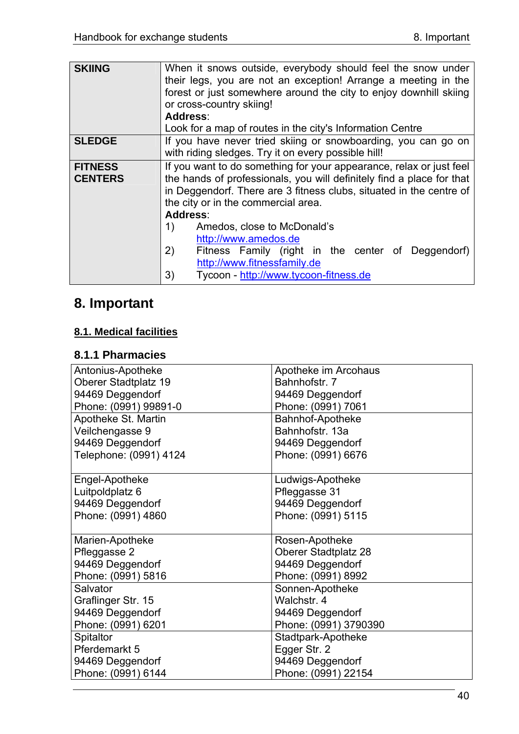<span id="page-39-0"></span>

| <b>SKIING</b>  |                                                                       |  |  |  |  |
|----------------|-----------------------------------------------------------------------|--|--|--|--|
|                | When it snows outside, everybody should feel the snow under           |  |  |  |  |
|                | their legs, you are not an exception! Arrange a meeting in the        |  |  |  |  |
|                | forest or just somewhere around the city to enjoy downhill skiing     |  |  |  |  |
|                | or cross-country skiing!                                              |  |  |  |  |
|                | Address:                                                              |  |  |  |  |
|                | Look for a map of routes in the city's Information Centre             |  |  |  |  |
| <b>SLEDGE</b>  | If you have never tried skiing or snowboarding, you can go on         |  |  |  |  |
|                | with riding sledges. Try it on every possible hill!                   |  |  |  |  |
| <b>FITNESS</b> | If you want to do something for your appearance, relax or just feel   |  |  |  |  |
| <b>CENTERS</b> | the hands of professionals, you will definitely find a place for that |  |  |  |  |
|                | in Deggendorf. There are 3 fitness clubs, situated in the centre of   |  |  |  |  |
|                | the city or in the commercial area.                                   |  |  |  |  |
|                | Address:                                                              |  |  |  |  |
|                |                                                                       |  |  |  |  |
|                | 1)<br>Amedos, close to McDonald's                                     |  |  |  |  |
|                | http://www.amedos.de                                                  |  |  |  |  |
|                | 2)<br>Fitness Family (right in the center of Deggendorf)              |  |  |  |  |
|                | http://www.fitnessfamily.de                                           |  |  |  |  |
|                | Tycoon - http://www.tycoon-fitness.de<br>3)                           |  |  |  |  |
|                |                                                                       |  |  |  |  |

# **8. Important**

# **8.1. Medical facilities**

# **8.1.1 Pharmacies**

| Antonius-Apotheke      | Apotheke im Arcohaus        |  |
|------------------------|-----------------------------|--|
| Oberer Stadtplatz 19   | Bahnhofstr. 7               |  |
| 94469 Deggendorf       | 94469 Deggendorf            |  |
| Phone: (0991) 99891-0  | Phone: (0991) 7061          |  |
| Apotheke St. Martin    | Bahnhof-Apotheke            |  |
| Veilchengasse 9        | Bahnhofstr. 13a             |  |
| 94469 Deggendorf       | 94469 Deggendorf            |  |
| Telephone: (0991) 4124 | Phone: (0991) 6676          |  |
|                        |                             |  |
| Engel-Apotheke         | Ludwigs-Apotheke            |  |
| Luitpoldplatz 6        | Pfleggasse 31               |  |
| 94469 Deggendorf       | 94469 Deggendorf            |  |
| Phone: (0991) 4860     | Phone: (0991) 5115          |  |
|                        |                             |  |
| Marien-Apotheke        | Rosen-Apotheke              |  |
| Pfleggasse 2           | <b>Oberer Stadtplatz 28</b> |  |
| 94469 Deggendorf       | 94469 Deggendorf            |  |
| Phone: (0991) 5816     | Phone: (0991) 8992          |  |
| Salvator               | Sonnen-Apotheke             |  |
| Graflinger Str. 15     | Walchstr. 4                 |  |
| 94469 Deggendorf       | 94469 Deggendorf            |  |
| Phone: (0991) 6201     | Phone: (0991) 3790390       |  |
| <b>Spitaltor</b>       | Stadtpark-Apotheke          |  |
| Pferdemarkt 5          | Egger Str. 2                |  |
| 94469 Deggendorf       | 94469 Deggendorf            |  |
| Phone: (0991) 6144     | Phone: (0991) 22154         |  |
|                        |                             |  |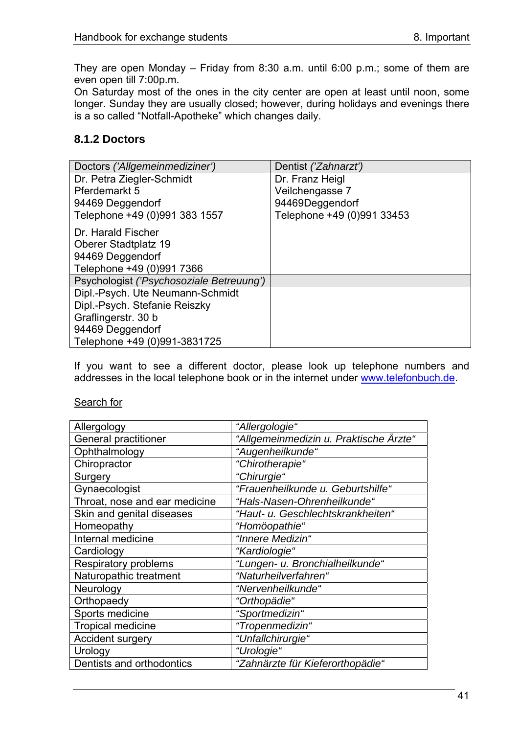<span id="page-40-0"></span>They are open Monday – Friday from 8:30 a.m. until 6:00 p.m.; some of them are even open till 7:00p.m.

On Saturday most of the ones in the city center are open at least until noon, some longer. Sunday they are usually closed; however, during holidays and evenings there is a so called "Notfall-Apotheke" which changes daily.

## **8.1.2 Doctors**

| Doctors ('Allgemeinmediziner')           | Dentist ('Zahnarzt')       |  |
|------------------------------------------|----------------------------|--|
| Dr. Petra Ziegler-Schmidt                | Dr. Franz Heigl            |  |
| Pferdemarkt 5                            | Veilchengasse 7            |  |
| 94469 Deggendorf                         | 94469Deggendorf            |  |
| Telephone +49 (0)991 383 1557            | Telephone +49 (0)991 33453 |  |
| Dr. Harald Fischer                       |                            |  |
| Oberer Stadtplatz 19                     |                            |  |
| 94469 Deggendorf                         |                            |  |
| Telephone +49 (0)991 7366                |                            |  |
| Psychologist ('Psychosoziale Betreuung') |                            |  |
| Dipl.-Psych. Ute Neumann-Schmidt         |                            |  |
| Dipl.-Psych. Stefanie Reiszky            |                            |  |
| Graflingerstr. 30 b                      |                            |  |
| 94469 Deggendorf                         |                            |  |
| Telephone +49 (0)991-3831725             |                            |  |

If you want to see a different doctor, please look up telephone numbers and addresses in the local telephone book or in the internet under [www.telefonbuch.de](http://www.telefonbuch.de/).

### Search for

| Allergology                   | "Allergologie"                         |  |  |
|-------------------------------|----------------------------------------|--|--|
| General practitioner          | "Allgemeinmedizin u. Praktische Ärzte" |  |  |
| Ophthalmology                 | "Augenheilkunde"                       |  |  |
| Chiropractor                  | "Chirotherapie"                        |  |  |
| Surgery                       | "Chirurgie"                            |  |  |
| Gynaecologist                 | "Frauenheilkunde u. Geburtshilfe"      |  |  |
| Throat, nose and ear medicine | "Hals-Nasen-Ohrenheilkunde"            |  |  |
| Skin and genital diseases     | "Haut- u. Geschlechtskrankheiten"      |  |  |
| Homeopathy                    | "Homöopathie"                          |  |  |
| Internal medicine             | "Innere Medizin"                       |  |  |
| Cardiology                    | "Kardiologie"                          |  |  |
| <b>Respiratory problems</b>   | "Lungen- u. Bronchialheilkunde"        |  |  |
| Naturopathic treatment        | "Naturheilverfahren"                   |  |  |
| Neurology                     | "Nervenheilkunde"                      |  |  |
| Orthopaedy                    | "Orthopädie"                           |  |  |
| Sports medicine               | "Sportmedizin"                         |  |  |
| <b>Tropical medicine</b>      | "Tropenmedizin"                        |  |  |
| Accident surgery              | "Unfallchirurgie"                      |  |  |
| Urology                       | "Urologie"                             |  |  |
| Dentists and orthodontics     | "Zahnärzte für Kieferorthopädie"       |  |  |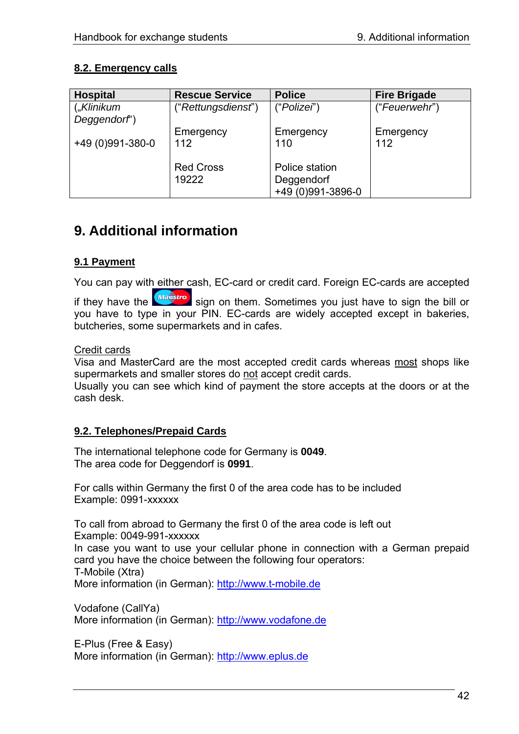## <span id="page-41-0"></span>**8.2. Emergency calls**

| <b>Hospital</b>  | <b>Rescue Service</b> | <b>Police</b>     | <b>Fire Brigade</b> |
|------------------|-----------------------|-------------------|---------------------|
| $($ "Klinikum    | ("Rettungsdienst")    | ("Polizei")       | ("Feuerwehr")       |
| Deggendorf')     |                       |                   |                     |
|                  | Emergency             | Emergency         | Emergency           |
| +49 (0)991-380-0 | 112                   | 110               | 112                 |
|                  |                       |                   |                     |
|                  | <b>Red Cross</b>      | Police station    |                     |
|                  | 19222                 | Deggendorf        |                     |
|                  |                       | +49 (0)991-3896-0 |                     |

# **9. Additional information**

# **9.1 Payment**

You can pay with either cash, EC-card or credit card. Foreign EC-cards are accepted

if they have the **Magstro** sign on them. Sometimes you just have to sign the bill or you have to type in your PIN. EC-cards are widely accepted except in bakeries, butcheries, some supermarkets and in cafes.

### Credit cards

Visa and MasterCard are the most accepted credit cards whereas most shops like supermarkets and smaller stores do not accept credit cards.

Usually you can see which kind of payment the store accepts at the doors or at the cash desk.

## **9.2. Telephones/Prepaid Cards**

The international telephone code for Germany is **0049**. The area code for Deggendorf is **0991**.

For calls within Germany the first 0 of the area code has to be included Example: 0991-xxxxxx

To call from abroad to Germany the first 0 of the area code is left out Example: 0049-991-xxxxxx In case you want to use your cellular phone in connection with a German prepaid card you have the choice between the following four operators: T-Mobile (Xtra) More information (in German): [http://www.t-mobile.de](http://www.t-mobile.de/)

Vodafone (CallYa) More information (in German): [http://www.vodafone.de](http://www.vodafone.de/)

E-Plus (Free & Easy) More information (in German): [http://www.eplus.de](http://www.eplus.de/)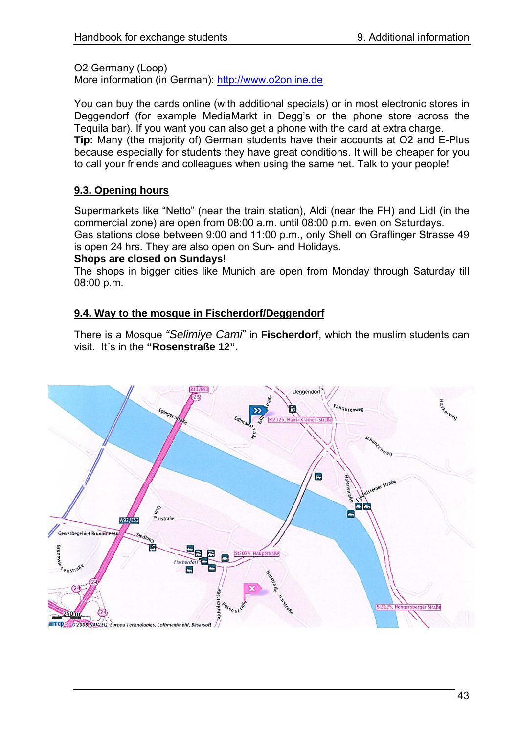<span id="page-42-0"></span>O2 Germany (Loop)

More information (in German): [http://www.o2online.de](http://www.o2online.de/)

You can buy the cards online (with additional specials) or in most electronic stores in Deggendorf (for example MediaMarkt in Degg's or the phone store across the Tequila bar). If you want you can also get a phone with the card at extra charge. **Tip:** Many (the majority of) German students have their accounts at O2 and E-Plus because especially for students they have great conditions. It will be cheaper for you to call your friends and colleagues when using the same net. Talk to your people!

## **9.3. Opening hours**

Supermarkets like "Netto" (near the train station), Aldi (near the FH) and Lidl (in the commercial zone) are open from 08:00 a.m. until 08:00 p.m. even on Saturdays. Gas stations close between 9:00 and 11:00 p.m., only Shell on Graflinger Strasse 49 is open 24 hrs. They are also open on Sun- and Holidays.

### **Shops are closed on Sundays**!

The shops in bigger cities like Munich are open from Monday through Saturday till 08:00 p.m.

## **9.4. Way to the mosque in Fischerdorf/Deggendorf**

There is a Mosque *"Selimiye Cami*" in **Fischerdorf**, which the muslim students can visit. It´s in the **"Rosenstraße 12".** 

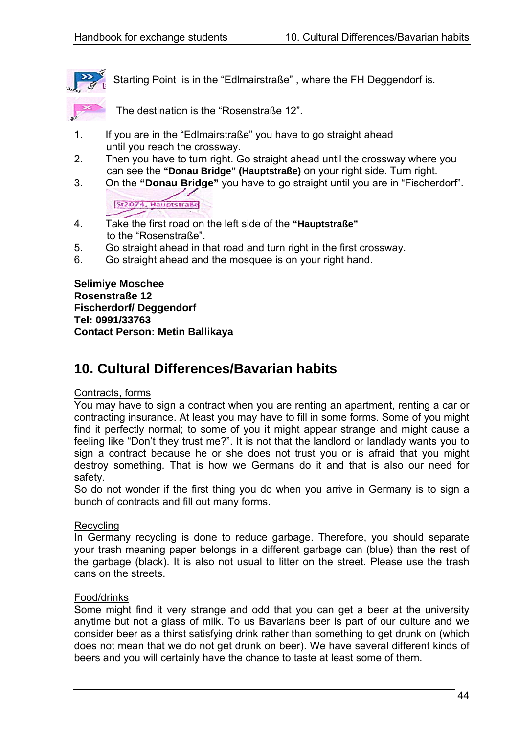<span id="page-43-0"></span>

Starting Point is in the "Edlmairstraße" , where the FH Deggendorf is.

The destination is the "Rosenstraße 12".

- 1. If you are in the "Edlmairstraße" you have to go straight ahead until you reach the crossway.
- 2. Then you have to turn right. Go straight ahead until the crossway where you can see the **"Donau Bridge" (Hauptstraße)** on your right side. Turn right.
- 3. On the **"Donau Bridge"** you have to go straight until you are in "Fischerdorf".

St2074, Hauptstraße

- 4. 4. Take the first road on the left side of the **"Hauptstraße"** to the "Rosenstraße".
- 5. Go straight ahead in that road and turn right in the first crossway.
- 6. Go straight ahead and the mosquee is on your right hand.

#### **Selimiye Moschee Rosenstraße 12 Fischerdorf/ Deggendorf Tel: 0991/33763 Contact Person: Metin Ballikaya**

# **10. Cultural Differences/Bavarian habits**

## Contracts, forms

You may have to sign a contract when you are renting an apartment, renting a car or contracting insurance. At least you may have to fill in some forms. Some of you might find it perfectly normal; to some of you it might appear strange and might cause a feeling like "Don't they trust me?". It is not that the landlord or landlady wants you to sign a contract because he or she does not trust you or is afraid that you might destroy something. That is how we Germans do it and that is also our need for safety.

So do not wonder if the first thing you do when you arrive in Germany is to sign a bunch of contracts and fill out many forms.

#### Recycling

In Germany recycling is done to reduce garbage. Therefore, you should separate your trash meaning paper belongs in a different garbage can (blue) than the rest of the garbage (black). It is also not usual to litter on the street. Please use the trash cans on the streets.

#### Food/drinks

Some might find it very strange and odd that you can get a beer at the university anytime but not a glass of milk. To us Bavarians beer is part of our culture and we consider beer as a thirst satisfying drink rather than something to get drunk on (which does not mean that we do not get drunk on beer). We have several different kinds of beers and you will certainly have the chance to taste at least some of them.